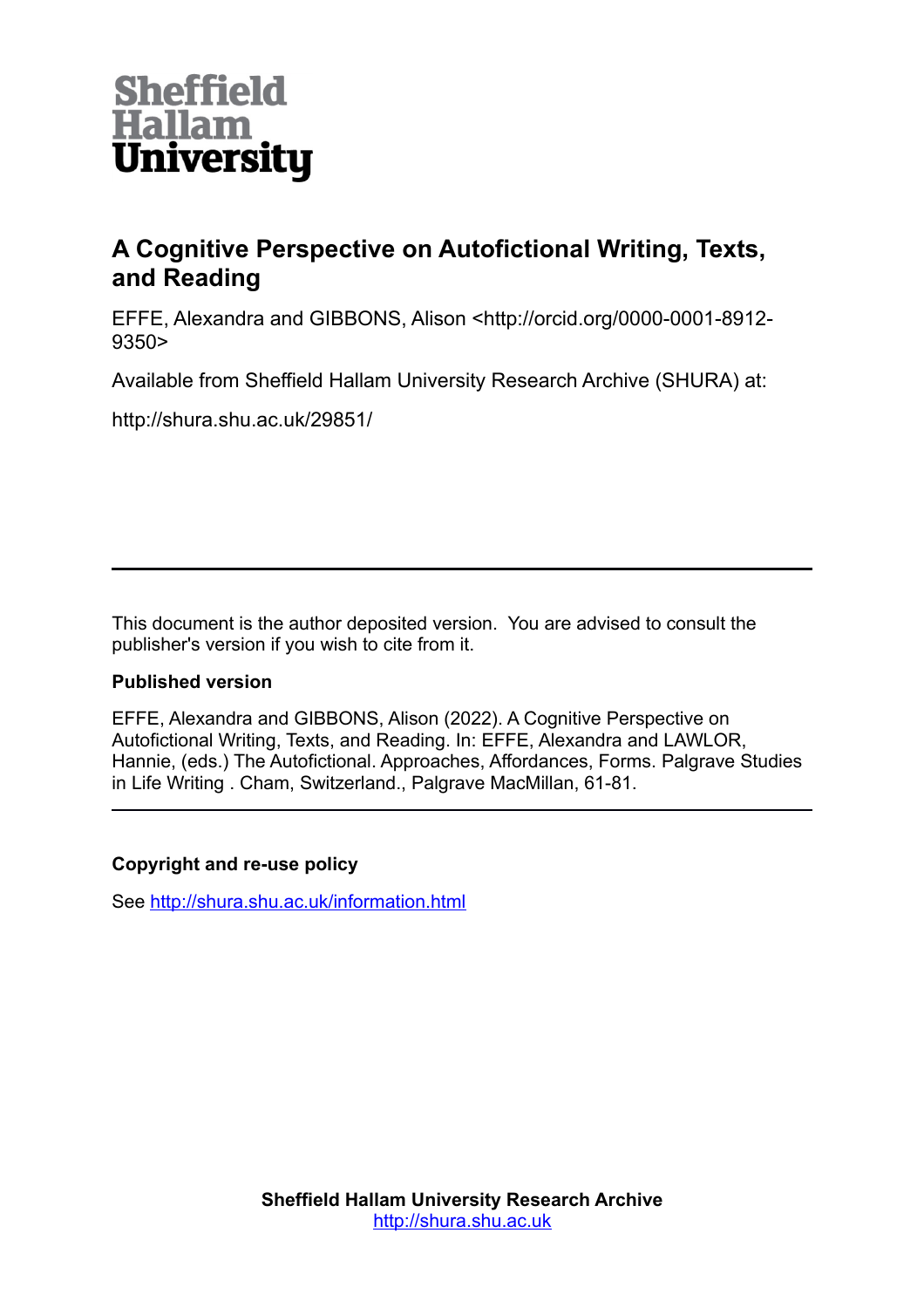

# **A Cognitive Perspective on Autofictional Writing, Texts, and Reading**

EFFE, Alexandra and GIBBONS, Alison <http://orcid.org/0000-0001-8912- 9350>

Available from Sheffield Hallam University Research Archive (SHURA) at:

http://shura.shu.ac.uk/29851/

This document is the author deposited version. You are advised to consult the publisher's version if you wish to cite from it.

## **Published version**

EFFE, Alexandra and GIBBONS, Alison (2022). A Cognitive Perspective on Autofictional Writing, Texts, and Reading. In: EFFE, Alexandra and LAWLOR, Hannie, (eds.) The Autofictional. Approaches, Affordances, Forms. Palgrave Studies in Life Writing . Cham, Switzerland., Palgrave MacMillan, 61-81.

## **Copyright and re-use policy**

See<http://shura.shu.ac.uk/information.html>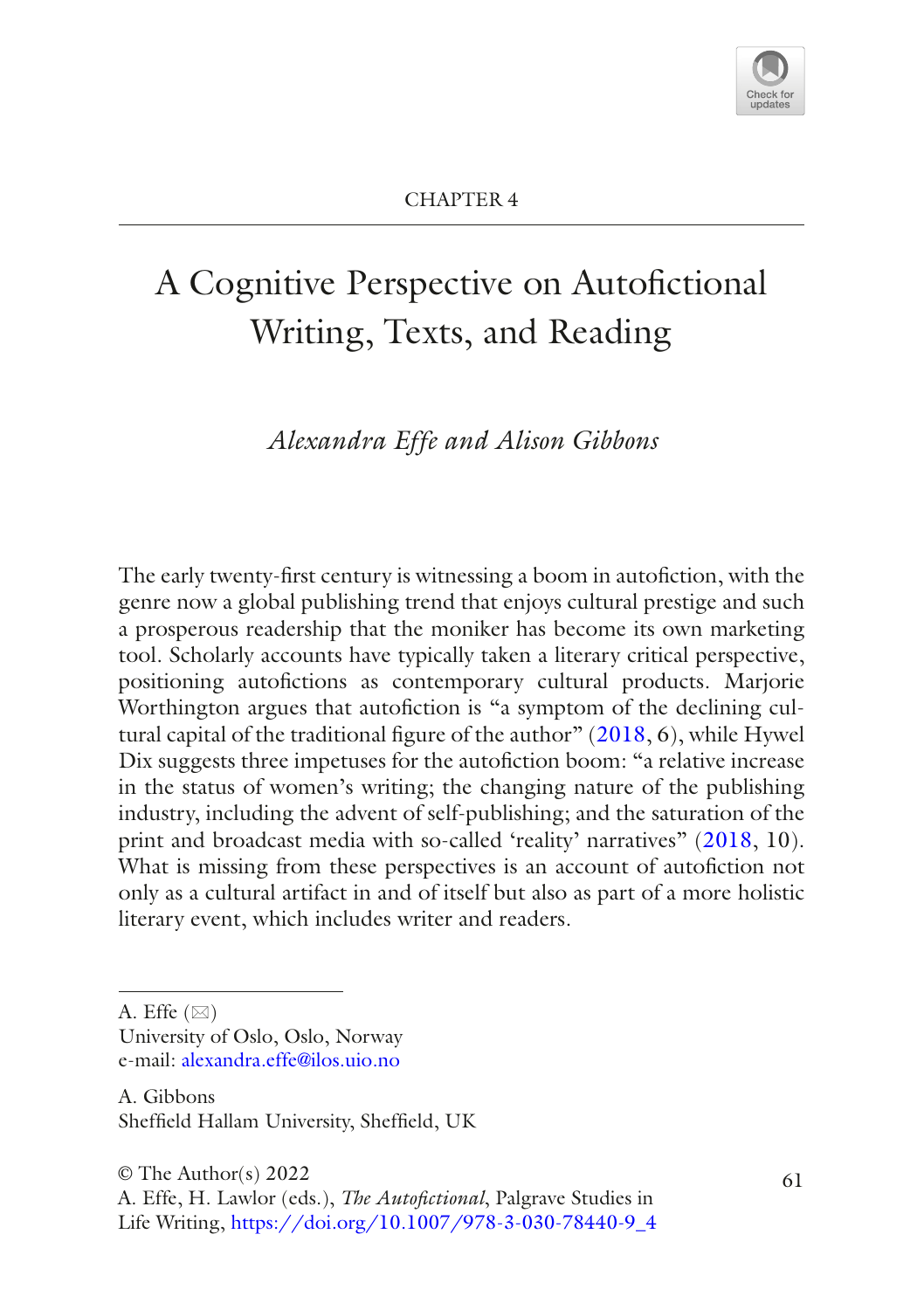

# A Cognitive Perspective on Autofctional Writing, Texts, and Reading

*Alexandra Effe and Alison Gibbons*

The early twenty-frst century is witnessing a boom in autofction, with the genre now a global publishing trend that enjoys cultural prestige and such a prosperous readership that the moniker has become its own marketing tool. Scholarly accounts have typically taken a literary critical perspective, positioning autofictions as contemporary cultural products. Marjorie Worthington argues that autofiction is "a symptom of the declining cultural capital of the traditional fgure of the author" [\(2018](#page-20-0), 6), while Hywel Dix suggests three impetuses for the autofiction boom: "a relative increase in the status of women's writing; the changing nature of the publishing industry, including the advent of self-publishing; and the saturation of the print and broadcast media with so-called 'reality' narratives" [\(2018,](#page-18-0) 10). What is missing from these perspectives is an account of autofiction not only as a cultural artifact in and of itself but also as part of a more holistic literary event, which includes writer and readers.

University of Oslo, Oslo, Norway e-mail: [alexandra.effe@ilos.uio.no](mailto:alexandra.effe@ilos.uio.no)

A. Gibbons Sheffeld Hallam University, Sheffeld, UK

A. Effe  $(\boxtimes)$ 

 $\circ$  The Author(s) 2022 61

A. Effe, H. Lawlor (eds.), *The Autofctional*, Palgrave Studies in Life Writing, [https://doi.org/10.1007/978-3-030-78440-9\\_4](https://doi.org/10.1007/978-3-030-78440-9_4#DOI)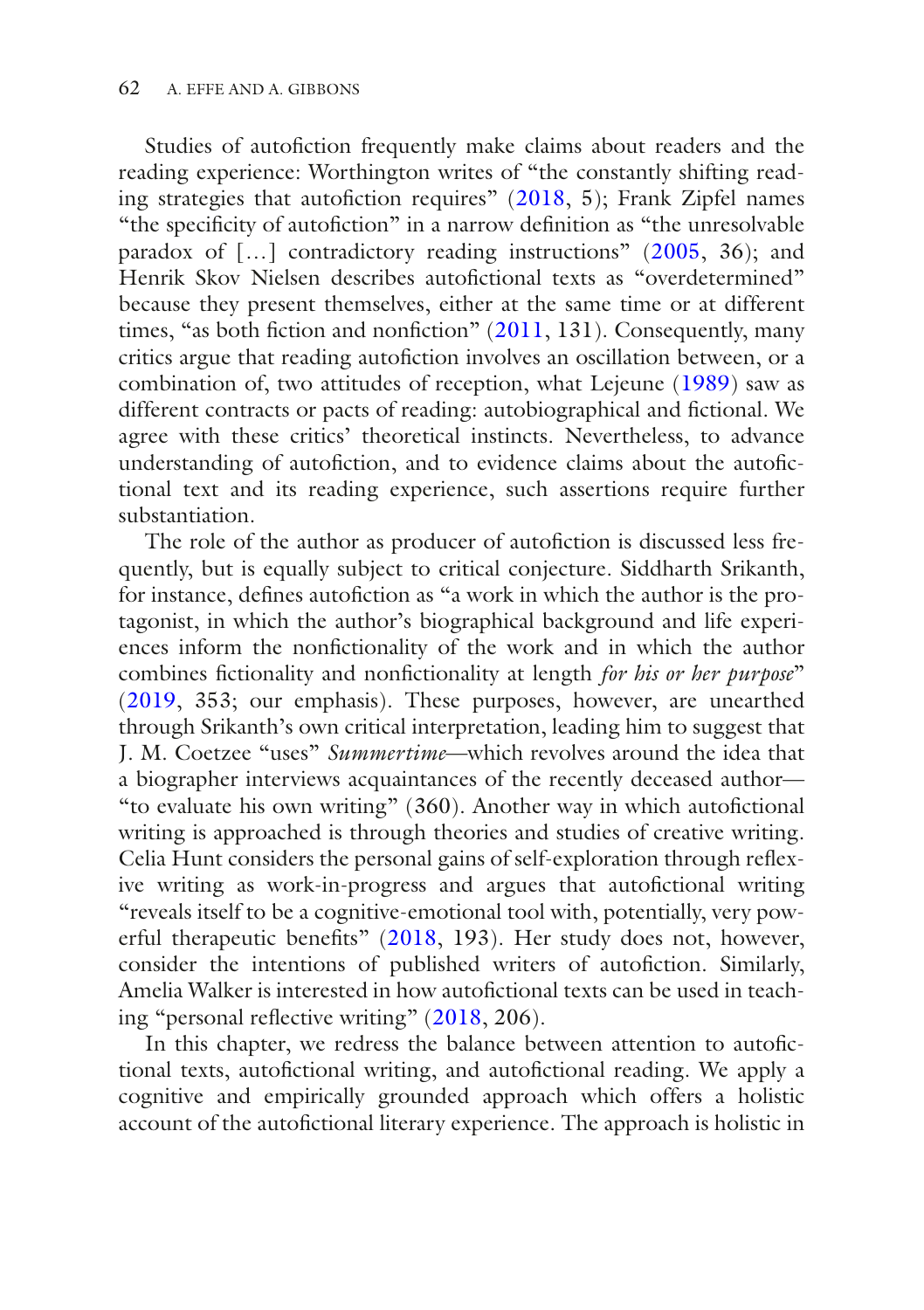Studies of autofiction frequently make claims about readers and the reading experience: Worthington writes of "the constantly shifting reading strategies that autofction requires" [\(2018,](#page-20-0) 5); Frank Zipfel names "the specifcity of autofction" in a narrow defnition as "the unresolvable paradox of […] contradictory reading instructions" ([2005](#page-21-0), 36); and Henrik Skov Nielsen describes autofictional texts as "overdetermined" because they present themselves, either at the same time or at different times, "as both fiction and nonfiction" ([2011](#page-20-1), 131). Consequently, many critics argue that reading autofiction involves an oscillation between, or a combination of, two attitudes of reception, what Lejeune [\(1989\)](#page-20-2) saw as different contracts or pacts of reading: autobiographical and fctional. We agree with these critics' theoretical instincts. Nevertheless, to advance understanding of autofiction, and to evidence claims about the autofictional text and its reading experience, such assertions require further substantiation.

The role of the author as producer of autofiction is discussed less frequently, but is equally subject to critical conjecture. Siddharth Srikanth, for instance, defines autofiction as "a work in which the author is the protagonist, in which the author's biographical background and life experiences inform the nonfctionality of the work and in which the author combines fctionality and nonfctionality at length *for his or her purpose*" ([2019](#page-20-3), 353; our emphasis). These purposes, however, are unearthed through Srikanth's own critical interpretation, leading him to suggest that J. M. Coetzee "uses" *Summertime*—which revolves around the idea that a biographer interviews acquaintances of the recently deceased author— "to evaluate his own writing" (360). Another way in which autofctional writing is approached is through theories and studies of creative writing. Celia Hunt considers the personal gains of self-exploration through refexive writing as work-in-progress and argues that autofictional writing "reveals itself to be a cognitive-emotional tool with, potentially, very powerful therapeutic benefts" [\(2018](#page-19-0), 193). Her study does not, however, consider the intentions of published writers of autofiction. Similarly, Amelia Walker is interested in how autofictional texts can be used in teaching "personal refective writing" ([2018,](#page-20-4) 206).

In this chapter, we redress the balance between attention to autofictional texts, autofictional writing, and autofictional reading. We apply a cognitive and empirically grounded approach which offers a holistic account of the autofictional literary experience. The approach is holistic in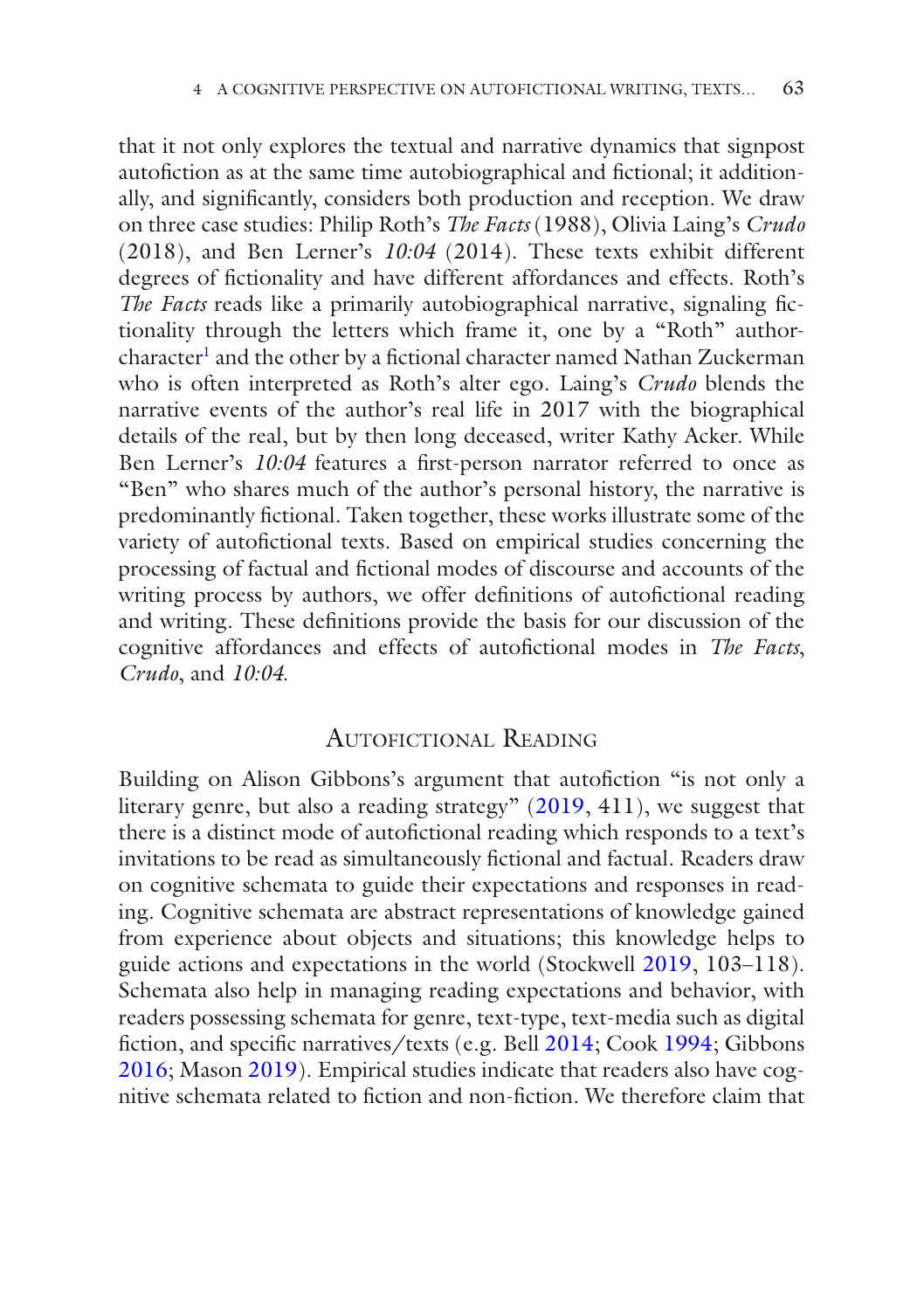that it not only explores the textual and narrative dynamics that signpost autofiction as at the same time autobiographical and fictional; it additionally, and signifcantly, considers both production and reception. We draw on three case studies: Philip Roth's *The Facts* (1988), Olivia Laing's *Crudo* (2018), and Ben Lerner's *10:04* (2014). These texts exhibit different degrees of fctionality and have different affordances and effects. Roth's *The Facts* reads like a primarily autobiographical narrative, signaling fctionality through the letters which frame it, one by a "Roth" authorcharacter<sup>1</sup> and the other by a fictional character named Nathan Zuckerman who is often interpreted as Roth's alter ego. Laing's *Crudo* blends the narrative events of the author's real life in 2017 with the biographical details of the real, but by then long deceased, writer Kathy Acker. While Ben Lerner's *10:04* features a frst-person narrator referred to once as "Ben" who shares much of the author's personal history, the narrative is predominantly fctional. Taken together, these works illustrate some of the variety of autofctional texts. Based on empirical studies concerning the processing of factual and fctional modes of discourse and accounts of the writing process by authors, we offer definitions of autofictional reading and writing. These defnitions provide the basis for our discussion of the cognitive affordances and effects of autofctional modes in *The Facts*, *Crudo*, and *10:04*.

#### AUTOFICTIONAL READING

Building on Alison Gibbons's argument that autofiction "is not only a literary genre, but also a reading strategy" [\(2019,](#page-19-1) 411), we suggest that there is a distinct mode of autofictional reading which responds to a text's invitations to be read as simultaneously fctional and factual. Readers draw on cognitive schemata to guide their expectations and responses in reading. Cognitive schemata are abstract representations of knowledge gained from experience about objects and situations; this knowledge helps to guide actions and expectations in the world (Stockwell [2019](#page-20-5), 103–118). Schemata also help in managing reading expectations and behavior, with readers possessing schemata for genre, text-type, text-media such as digital fction, and specifc narratives/texts (e.g. Bell [2014;](#page-18-2) Cook [1994;](#page-18-3) Gibbons [2016](#page-19-2); Mason [2019](#page-20-6)). Empirical studies indicate that readers also have cognitive schemata related to fction and non-fction. We therefore claim that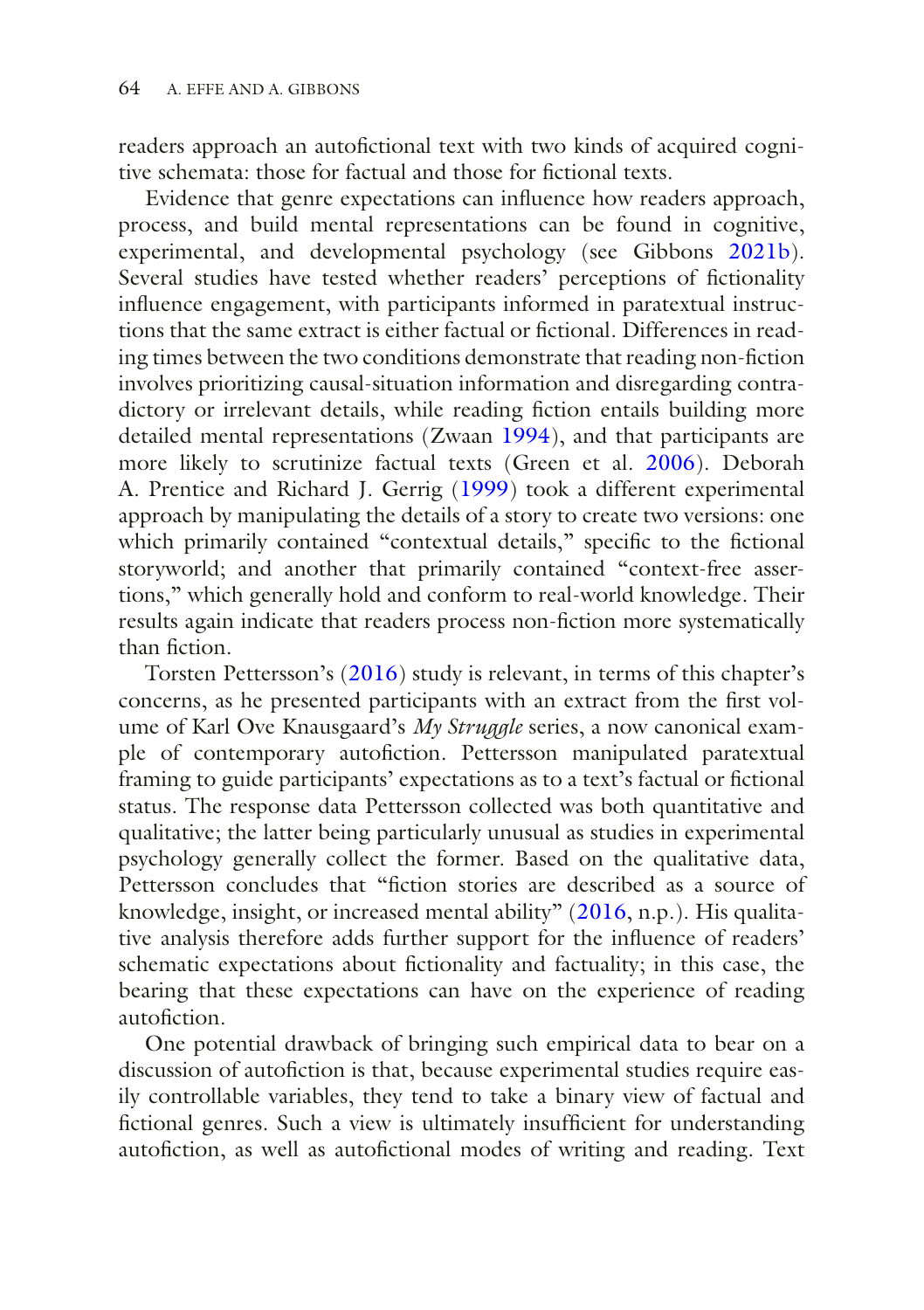readers approach an autofictional text with two kinds of acquired cognitive schemata: those for factual and those for fctional texts.

Evidence that genre expectations can infuence how readers approach, process, and build mental representations can be found in cognitive, experimental, and developmental psychology (see Gibbons [2021b](#page-19-3)). Several studies have tested whether readers' perceptions of fictionality infuence engagement, with participants informed in paratextual instructions that the same extract is either factual or fctional. Differences in reading times between the two conditions demonstrate that reading non-fction involves prioritizing causal-situation information and disregarding contradictory or irrelevant details, while reading fction entails building more detailed mental representations (Zwaan [1994](#page-21-1)), and that participants are more likely to scrutinize factual texts (Green et al. [2006\)](#page-19-4). Deborah A. Prentice and Richard J. Gerrig ([1999](#page-20-7)) took a different experimental approach by manipulating the details of a story to create two versions: one which primarily contained "contextual details," specific to the fictional storyworld; and another that primarily contained "context-free assertions," which generally hold and conform to real-world knowledge. Their results again indicate that readers process non-fction more systematically than fiction

Torsten Pettersson's [\(2016\)](#page-20-8) study is relevant, in terms of this chapter's concerns, as he presented participants with an extract from the frst volume of Karl Ove Knausgaard's *My Struggle* series, a now canonical example of contemporary autofction. Pettersson manipulated paratextual framing to guide participants' expectations as to a text's factual or fctional status. The response data Pettersson collected was both quantitative and qualitative; the latter being particularly unusual as studies in experimental psychology generally collect the former. Based on the qualitative data, Pettersson concludes that "fction stories are described as a source of knowledge, insight, or increased mental ability" [\(2016,](#page-20-8) n.p.). His qualitative analysis therefore adds further support for the infuence of readers' schematic expectations about fctionality and factuality; in this case, the bearing that these expectations can have on the experience of reading autofiction

One potential drawback of bringing such empirical data to bear on a discussion of autofiction is that, because experimental studies require easily controllable variables, they tend to take a binary view of factual and fctional genres. Such a view is ultimately insuffcient for understanding autofiction, as well as autofictional modes of writing and reading. Text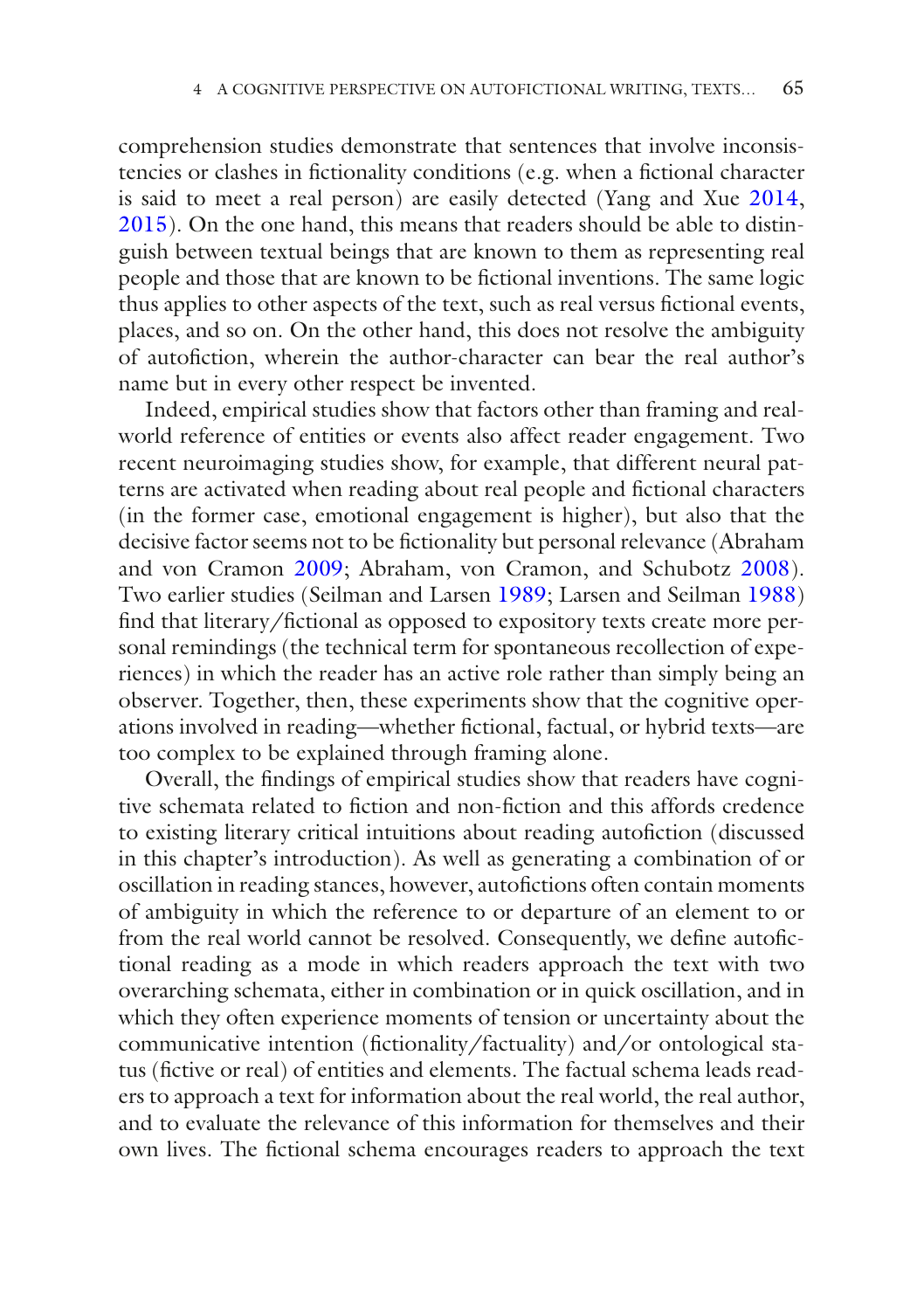comprehension studies demonstrate that sentences that involve inconsistencies or clashes in fctionality conditions (e.g. when a fctional character is said to meet a real person) are easily detected (Yang and Xue [2014,](#page-20-9) [2015](#page-21-2)). On the one hand, this means that readers should be able to distinguish between textual beings that are known to them as representing real people and those that are known to be fctional inventions. The same logic thus applies to other aspects of the text, such as real versus fictional events, places, and so on. On the other hand, this does not resolve the ambiguity of autofction, wherein the author-character can bear the real author's name but in every other respect be invented.

Indeed, empirical studies show that factors other than framing and realworld reference of entities or events also affect reader engagement. Two recent neuroimaging studies show, for example, that different neural patterns are activated when reading about real people and fctional characters (in the former case, emotional engagement is higher), but also that the decisive factor seems not to be fctionality but personal relevance (Abraham and von Cramon [2009](#page-18-4); Abraham, von Cramon, and Schubotz [2008](#page-18-5)). Two earlier studies (Seilman and Larsen [1989](#page-20-10); Larsen and Seilman [1988\)](#page-19-5) fnd that literary/fctional as opposed to expository texts create more personal remindings (the technical term for spontaneous recollection of experiences) in which the reader has an active role rather than simply being an observer. Together, then, these experiments show that the cognitive operations involved in reading—whether fctional, factual, or hybrid texts—are too complex to be explained through framing alone.

Overall, the fndings of empirical studies show that readers have cognitive schemata related to fction and non-fction and this affords credence to existing literary critical intuitions about reading autofction (discussed in this chapter's introduction). As well as generating a combination of or oscillation in reading stances, however, autofictions often contain moments of ambiguity in which the reference to or departure of an element to or from the real world cannot be resolved. Consequently, we defne autofctional reading as a mode in which readers approach the text with two overarching schemata, either in combination or in quick oscillation, and in which they often experience moments of tension or uncertainty about the communicative intention (fictionality/factuality) and/or ontological status (fictive or real) of entities and elements. The factual schema leads readers to approach a text for information about the real world, the real author, and to evaluate the relevance of this information for themselves and their own lives. The fctional schema encourages readers to approach the text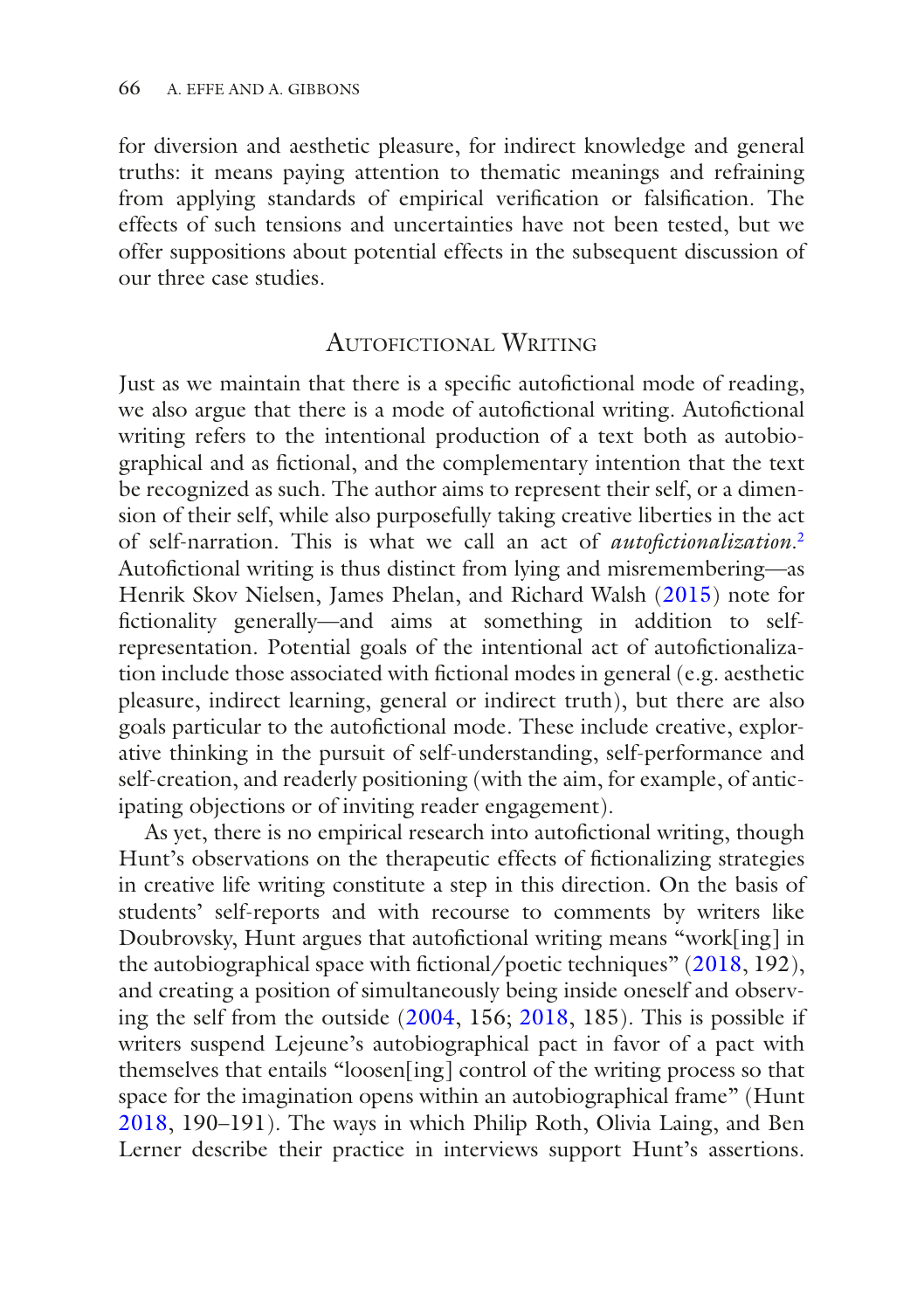for diversion and aesthetic pleasure, for indirect knowledge and general truths: it means paying attention to thematic meanings and refraining from applying standards of empirical verifcation or falsifcation. The effects of such tensions and uncertainties have not been tested, but we offer suppositions about potential effects in the subsequent discussion of our three case studies.

#### Autofictional Writing

Just as we maintain that there is a specific autofictional mode of reading, we also argue that there is a mode of autofictional writing. Autofictional writing refers to the intentional production of a text both as autobiographical and as fctional, and the complementary intention that the text be recognized as such. The author aims to represent their self, or a dimension of their self, while also purposefully taking creative liberties in the act of self-narration. This is what we call an act of *autofctionalization*. [2](#page-18-6) Autofictional writing is thus distinct from lying and misremembering—as Henrik Skov Nielsen, James Phelan, and Richard Walsh [\(2015\)](#page-20-11) note for fctionality generally—and aims at something in addition to selfrepresentation. Potential goals of the intentional act of autofictionalization include those associated with fctional modes in general (e.g. aesthetic pleasure, indirect learning, general or indirect truth), but there are also goals particular to the autofictional mode. These include creative, explorative thinking in the pursuit of self-understanding, self-performance and self-creation, and readerly positioning (with the aim, for example, of anticipating objections or of inviting reader engagement).

As yet, there is no empirical research into autofictional writing, though Hunt's observations on the therapeutic effects of fctionalizing strategies in creative life writing constitute a step in this direction. On the basis of students' self-reports and with recourse to comments by writers like Doubrovsky, Hunt argues that autofictional writing means "work[ing] in the autobiographical space with fctional/poetic techniques" ([2018](#page-19-0), 192), and creating a position of simultaneously being inside oneself and observing the self from the outside [\(2004,](#page-19-6) 156; [2018](#page-19-0), 185). This is possible if writers suspend Lejeune's autobiographical pact in favor of a pact with themselves that entails "loosen[ing] control of the writing process so that space for the imagination opens within an autobiographical frame" (Hunt [2018](#page-19-0), 190–191). The ways in which Philip Roth, Olivia Laing, and Ben Lerner describe their practice in interviews support Hunt's assertions.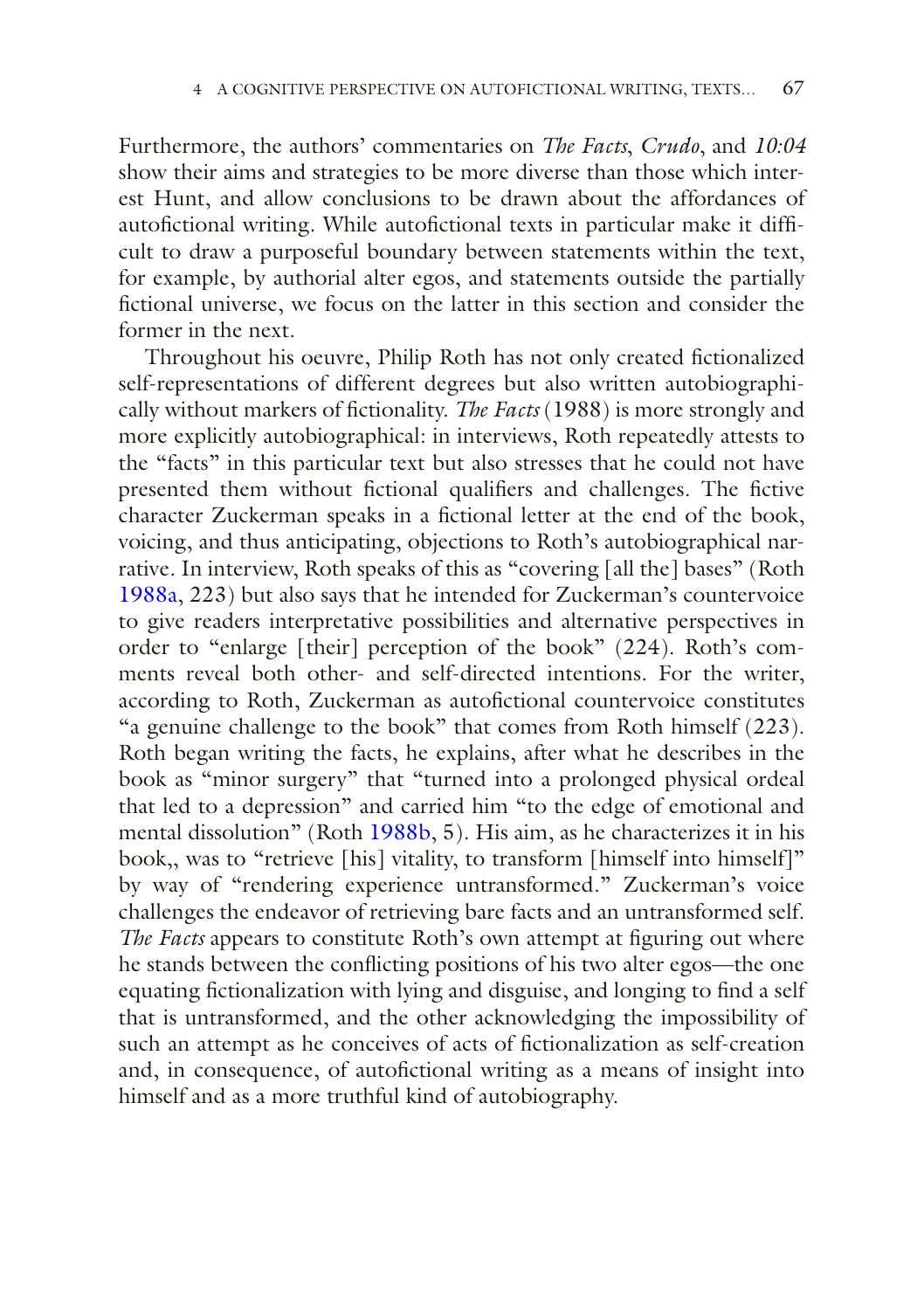Furthermore, the authors' commentaries on *The Facts*, *Crudo*, and *10:04* show their aims and strategies to be more diverse than those which interest Hunt, and allow conclusions to be drawn about the affordances of autofictional writing. While autofictional texts in particular make it difficult to draw a purposeful boundary between statements within the text, for example, by authorial alter egos, and statements outside the partially fctional universe, we focus on the latter in this section and consider the former in the next.

Throughout his oeuvre, Philip Roth has not only created fctionalized self-representations of different degrees but also written autobiographically without markers of fctionality. *The Facts* (1988) is more strongly and more explicitly autobiographical: in interviews, Roth repeatedly attests to the "facts" in this particular text but also stresses that he could not have presented them without fictional qualifiers and challenges. The fictive character Zuckerman speaks in a fctional letter at the end of the book, voicing, and thus anticipating, objections to Roth's autobiographical narrative. In interview, Roth speaks of this as "covering [all the] bases" (Roth [1988a,](#page-20-12) 223) but also says that he intended for Zuckerman's countervoice to give readers interpretative possibilities and alternative perspectives in order to "enlarge [their] perception of the book" (224). Roth's comments reveal both other- and self-directed intentions. For the writer, according to Roth, Zuckerman as autofictional countervoice constitutes "a genuine challenge to the book" that comes from Roth himself (223). Roth began writing the facts, he explains, after what he describes in the book as "minor surgery" that "turned into a prolonged physical ordeal that led to a depression" and carried him "to the edge of emotional and mental dissolution" (Roth [1988b,](#page-20-13) 5). His aim, as he characterizes it in his book,, was to "retrieve [his] vitality, to transform [himself into himself]" by way of "rendering experience untransformed." Zuckerman's voice challenges the endeavor of retrieving bare facts and an untransformed self. *The Facts* appears to constitute Roth's own attempt at figuring out where he stands between the conficting positions of his two alter egos—the one equating fctionalization with lying and disguise, and longing to fnd a self that is untransformed, and the other acknowledging the impossibility of such an attempt as he conceives of acts of fictionalization as self-creation and, in consequence, of autofictional writing as a means of insight into himself and as a more truthful kind of autobiography.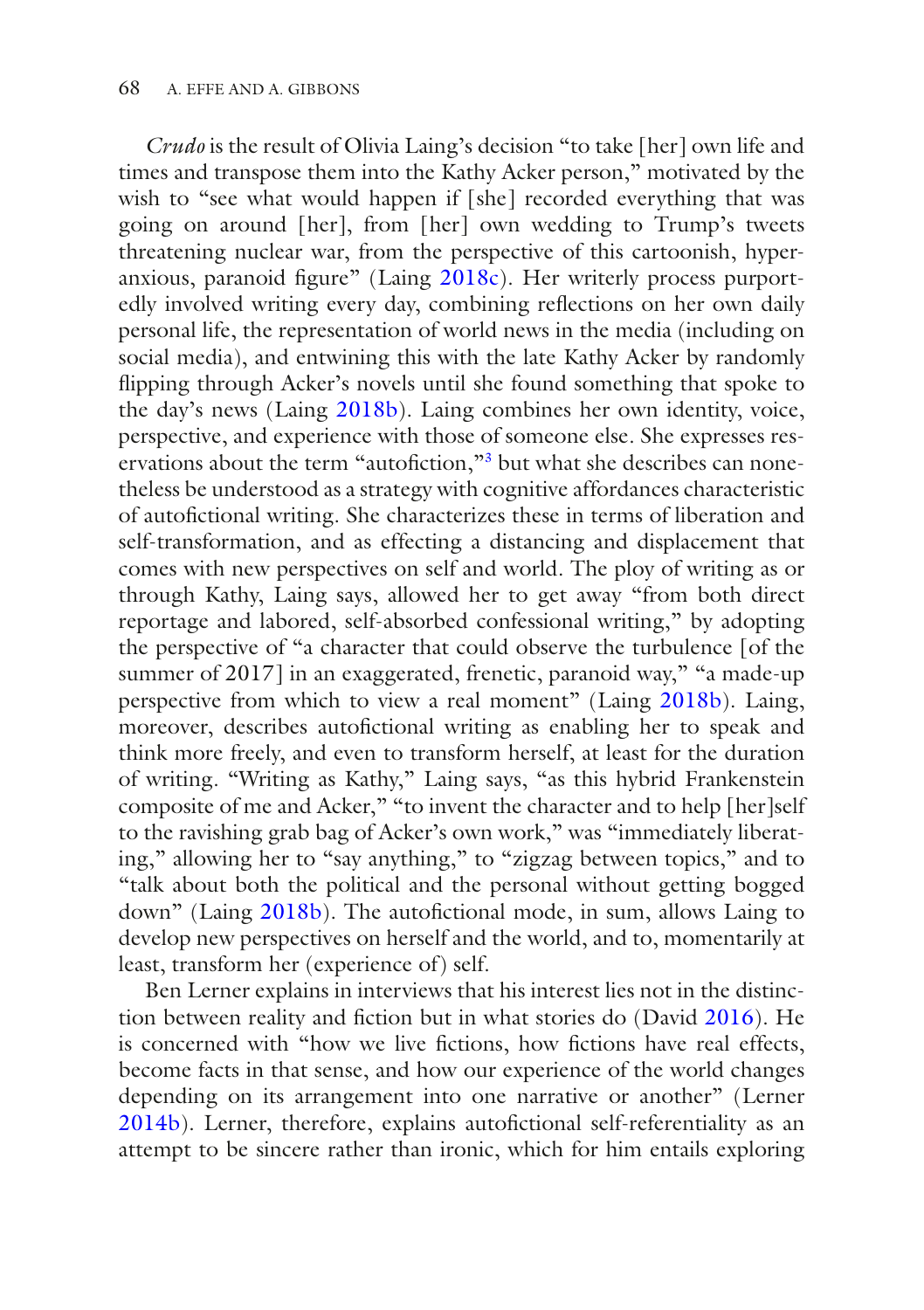*Crudo* is the result of Olivia Laing's decision "to take [her] own life and times and transpose them into the Kathy Acker person," motivated by the wish to "see what would happen if [she] recorded everything that was going on around [her], from [her] own wedding to Trump's tweets threatening nuclear war, from the perspective of this cartoonish, hyperanxious, paranoid fgure" (Laing [2018c\)](#page-19-7). Her writerly process purportedly involved writing every day, combining refections on her own daily personal life, the representation of world news in the media (including on social media), and entwining this with the late Kathy Acker by randomly fipping through Acker's novels until she found something that spoke to the day's news (Laing [2018b\)](#page-19-8). Laing combines her own identity, voice, perspective, and experience with those of someone else. She expresses reservations about the term "autofiction,"<sup>3</sup> but what she describes can nonetheless be understood as a strategy with cognitive affordances characteristic of autofctional writing. She characterizes these in terms of liberation and self-transformation, and as effecting a distancing and displacement that comes with new perspectives on self and world. The ploy of writing as or through Kathy, Laing says, allowed her to get away "from both direct reportage and labored, self-absorbed confessional writing," by adopting the perspective of "a character that could observe the turbulence [of the summer of 2017] in an exaggerated, frenetic, paranoid way," "a made-up perspective from which to view a real moment" (Laing [2018b\)](#page-19-8). Laing, moreover, describes autofictional writing as enabling her to speak and think more freely, and even to transform herself, at least for the duration of writing. "Writing as Kathy," Laing says, "as this hybrid Frankenstein composite of me and Acker," "to invent the character and to help [her]self to the ravishing grab bag of Acker's own work," was "immediately liberating," allowing her to "say anything," to "zigzag between topics," and to "talk about both the political and the personal without getting bogged down" (Laing [2018b](#page-19-8)). The autofictional mode, in sum, allows Laing to develop new perspectives on herself and the world, and to, momentarily at least, transform her (experience of) self.

Ben Lerner explains in interviews that his interest lies not in the distinc-tion between reality and fiction but in what stories do (David [2016\)](#page-18-8). He is concerned with "how we live fictions, how fictions have real effects, become facts in that sense, and how our experience of the world changes depending on its arrangement into one narrative or another" (Lerner [2014b\)](#page-20-14). Lerner, therefore, explains autofictional self-referentiality as an attempt to be sincere rather than ironic, which for him entails exploring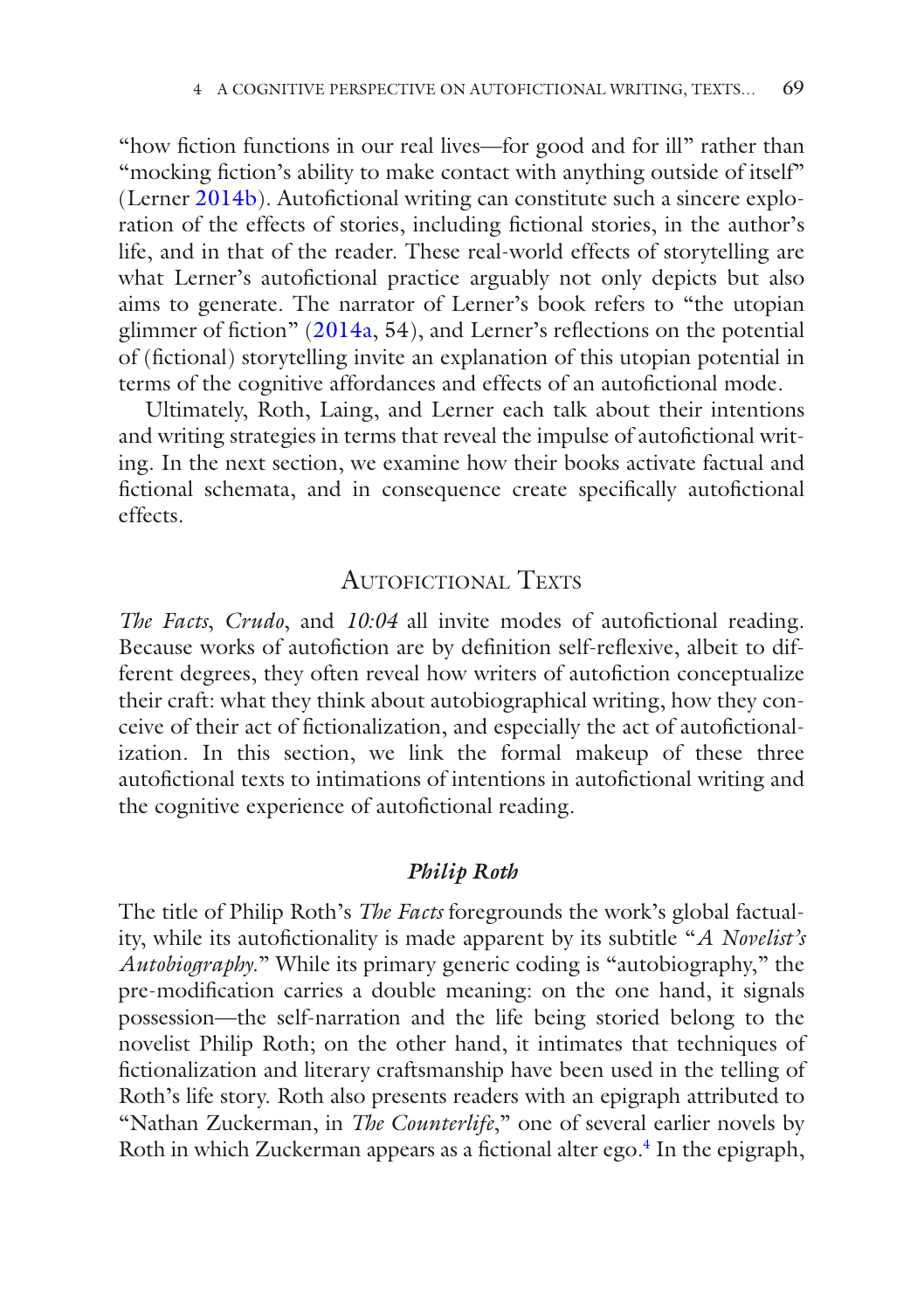"how fction functions in our real lives—for good and for ill" rather than "mocking fiction's ability to make contact with anything outside of itself" (Lerner [2014b\)](#page-20-14). Autofictional writing can constitute such a sincere exploration of the effects of stories, including fctional stories, in the author's life, and in that of the reader. These real-world effects of storytelling are what Lerner's autofictional practice arguably not only depicts but also aims to generate. The narrator of Lerner's book refers to "the utopian glimmer of fiction"  $(2014a, 54)$  $(2014a, 54)$ , and Lerner's reflections on the potential of (fctional) storytelling invite an explanation of this utopian potential in terms of the cognitive affordances and effects of an autofictional mode.

Ultimately, Roth, Laing, and Lerner each talk about their intentions and writing strategies in terms that reveal the impulse of autofictional writing. In the next section, we examine how their books activate factual and fictional schemata, and in consequence create specifically autofictional effects.

#### AUTOFICTIONAL TEXTS

*The Facts*, *Crudo*, and *10:04* all invite modes of autofictional reading. Because works of autofiction are by definition self-reflexive, albeit to different degrees, they often reveal how writers of autofiction conceptualize their craft: what they think about autobiographical writing, how they conceive of their act of fctionalization, and especially the act of autofctionalization. In this section, we link the formal makeup of these three autofctional texts to intimations of intentions in autofctional writing and the cognitive experience of autofictional reading.

#### *Philip Roth*

The title of Philip Roth's *The Facts* foregrounds the work's global factuality, while its autofctionality is made apparent by its subtitle "*A Novelist's Autobiography*." While its primary generic coding is "autobiography," the pre-modifcation carries a double meaning: on the one hand, it signals possession—the self-narration and the life being storied belong to the novelist Philip Roth; on the other hand, it intimates that techniques of fctionalization and literary craftsmanship have been used in the telling of Roth's life story. Roth also presents readers with an epigraph attributed to "Nathan Zuckerman, in *The Counterlife*," one of several earlier novels by Roth in which Zuckerman appears as a fictional alter ego.<sup>4</sup> In the epigraph,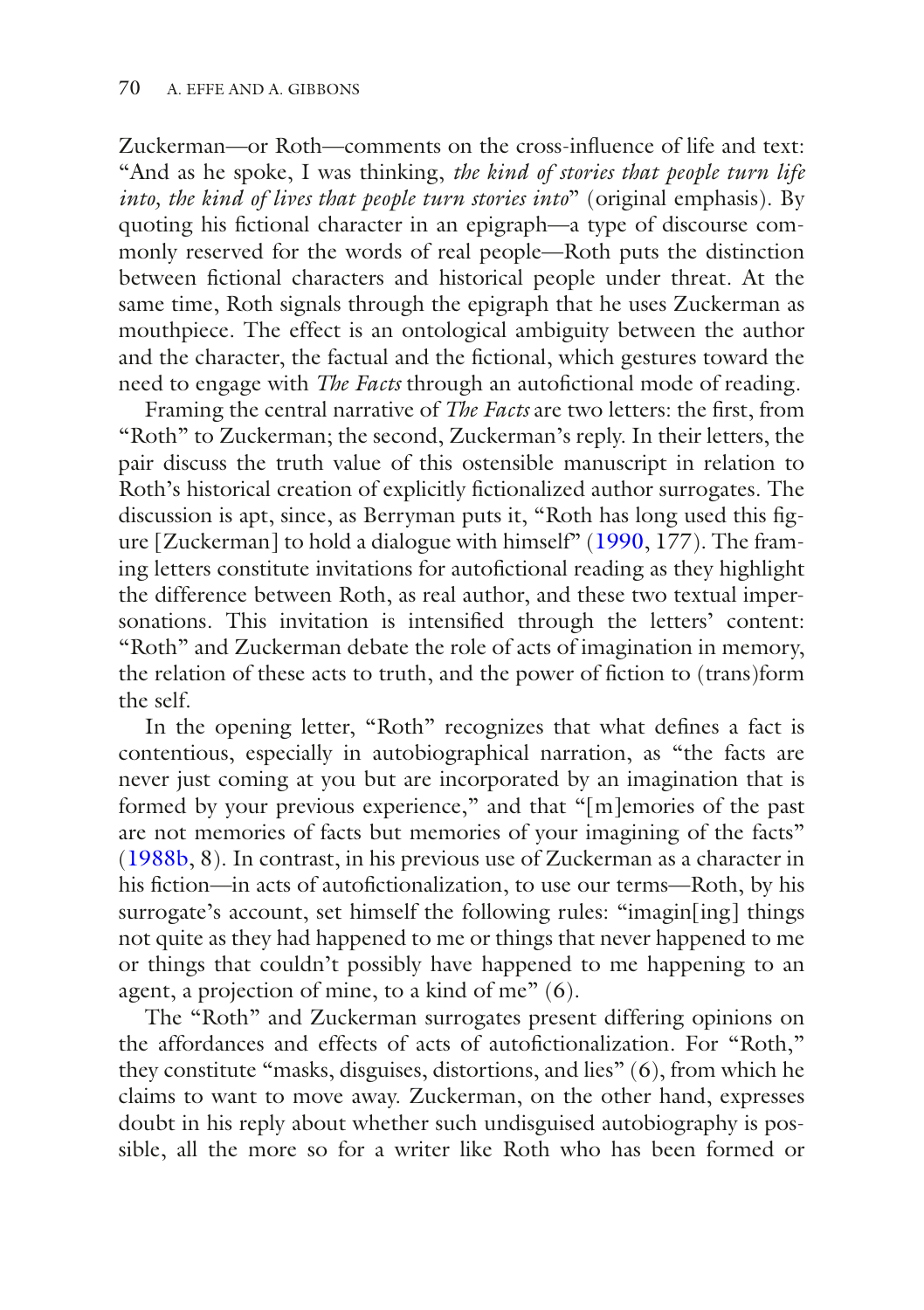Zuckerman—or Roth—comments on the cross-infuence of life and text: "And as he spoke, I was thinking, *the kind of stories that people turn life into, the kind of lives that people turn stories into*" (original emphasis). By quoting his fctional character in an epigraph—a type of discourse commonly reserved for the words of real people—Roth puts the distinction between fictional characters and historical people under threat. At the same time, Roth signals through the epigraph that he uses Zuckerman as mouthpiece. The effect is an ontological ambiguity between the author and the character, the factual and the fctional, which gestures toward the need to engage with *The Facts* through an autofictional mode of reading.

Framing the central narrative of *The Facts* are two letters: the frst, from "Roth" to Zuckerman; the second, Zuckerman's reply. In their letters, the pair discuss the truth value of this ostensible manuscript in relation to Roth's historical creation of explicitly fctionalized author surrogates. The discussion is apt, since, as Berryman puts it, "Roth has long used this fgure [Zuckerman] to hold a dialogue with himself" [\(1990,](#page-18-10) 177). The framing letters constitute invitations for autofctional reading as they highlight the difference between Roth, as real author, and these two textual impersonations. This invitation is intensifed through the letters' content: "Roth" and Zuckerman debate the role of acts of imagination in memory, the relation of these acts to truth, and the power of fction to (trans)form the self.

In the opening letter, "Roth" recognizes that what defnes a fact is contentious, especially in autobiographical narration, as "the facts are never just coming at you but are incorporated by an imagination that is formed by your previous experience," and that "[m]emories of the past are not memories of facts but memories of your imagining of the facts" ([1988b,](#page-20-13) 8). In contrast, in his previous use of Zuckerman as a character in his fiction—in acts of autofictionalization, to use our terms—Roth, by his surrogate's account, set himself the following rules: "imagin[ing] things not quite as they had happened to me or things that never happened to me or things that couldn't possibly have happened to me happening to an agent, a projection of mine, to a kind of me" (6).

The "Roth" and Zuckerman surrogates present differing opinions on the affordances and effects of acts of autofictionalization. For "Roth," they constitute "masks, disguises, distortions, and lies" (6), from which he claims to want to move away. Zuckerman, on the other hand, expresses doubt in his reply about whether such undisguised autobiography is possible, all the more so for a writer like Roth who has been formed or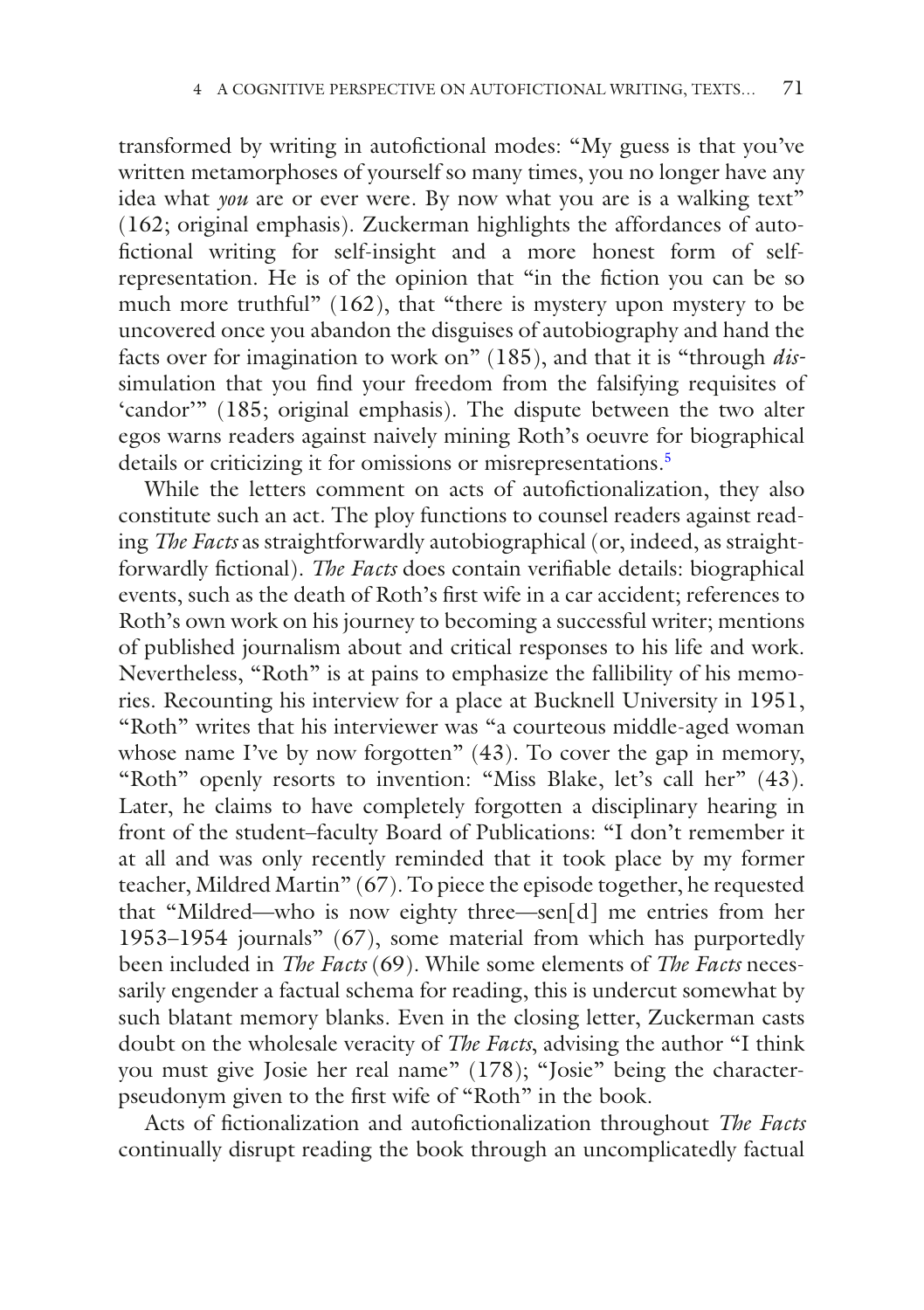transformed by writing in autofictional modes: "My guess is that you've written metamorphoses of yourself so many times, you no longer have any idea what *you* are or ever were. By now what you are is a walking text" (162; original emphasis). Zuckerman highlights the affordances of autofctional writing for self-insight and a more honest form of selfrepresentation. He is of the opinion that "in the fction you can be so much more truthful" (162), that "there is mystery upon mystery to be uncovered once you abandon the disguises of autobiography and hand the facts over for imagination to work on" (185), and that it is "through *dis*simulation that you find your freedom from the falsifying requisites of 'candor'" (185; original emphasis). The dispute between the two alter egos warns readers against naively mining Roth's oeuvre for biographical details or criticizing it for omissions or misrepresentations.<sup>[5](#page-18-11)</sup>

While the letters comment on acts of autofictionalization, they also constitute such an act. The ploy functions to counsel readers against reading *The Facts* as straightforwardly autobiographical (or, indeed, as straightforwardly fctional). *The Facts* does contain verifable details: biographical events, such as the death of Roth's frst wife in a car accident; references to Roth's own work on his journey to becoming a successful writer; mentions of published journalism about and critical responses to his life and work. Nevertheless, "Roth" is at pains to emphasize the fallibility of his memories. Recounting his interview for a place at Bucknell University in 1951, "Roth" writes that his interviewer was "a courteous middle-aged woman whose name I've by now forgotten" (43). To cover the gap in memory, "Roth" openly resorts to invention: "Miss Blake, let's call her" (43). Later, he claims to have completely forgotten a disciplinary hearing in front of the student–faculty Board of Publications: "I don't remember it at all and was only recently reminded that it took place by my former teacher, Mildred Martin" (67). To piece the episode together, he requested that "Mildred—who is now eighty three—sen[d] me entries from her 1953–1954 journals" (67), some material from which has purportedly been included in *The Facts* (69). While some elements of *The Facts* necessarily engender a factual schema for reading, this is undercut somewhat by such blatant memory blanks. Even in the closing letter, Zuckerman casts doubt on the wholesale veracity of *The Facts*, advising the author "I think you must give Josie her real name" (178); "Josie" being the characterpseudonym given to the frst wife of "Roth" in the book.

Acts of fctionalization and autofctionalization throughout *The Facts* continually disrupt reading the book through an uncomplicatedly factual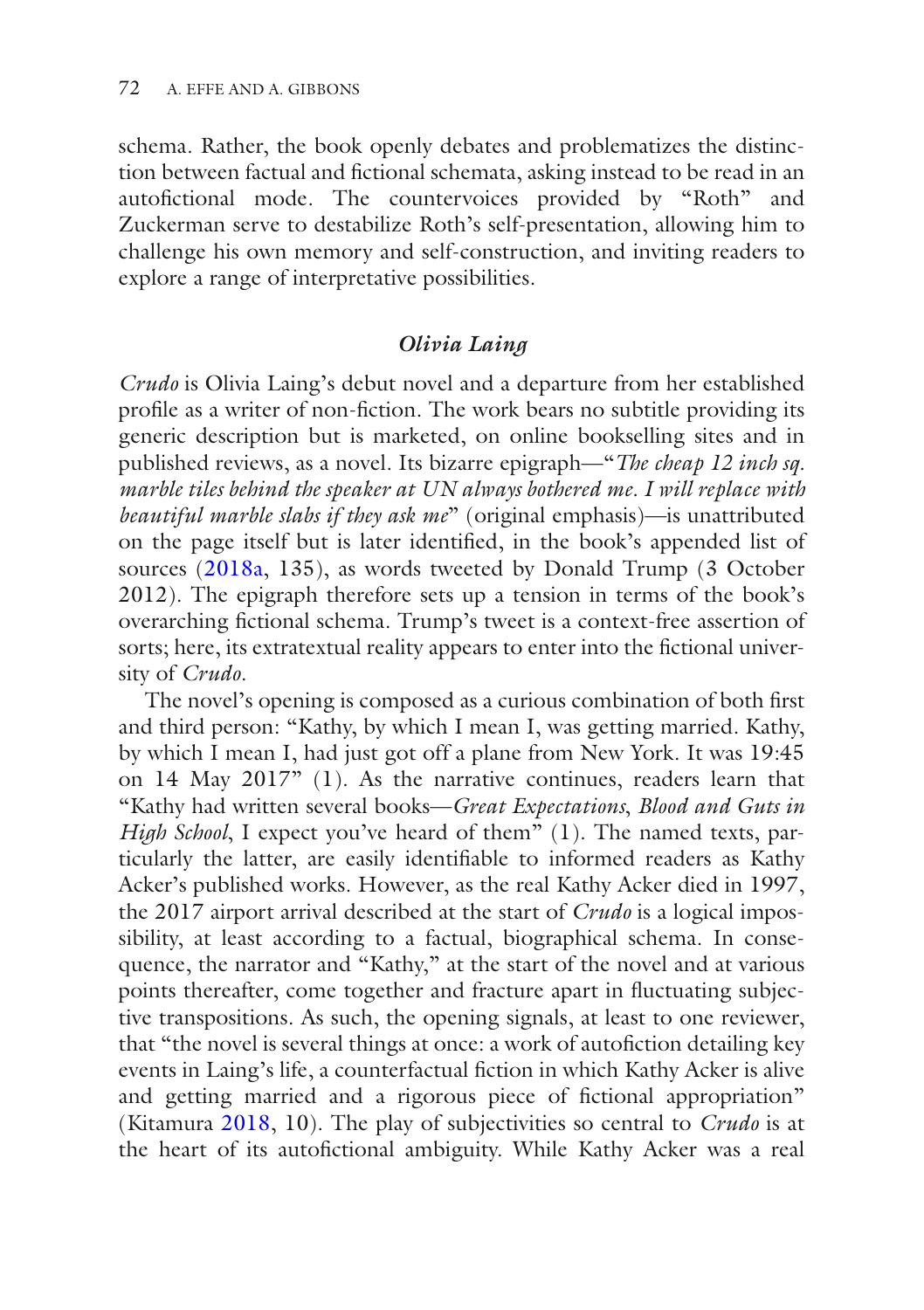schema. Rather, the book openly debates and problematizes the distinction between factual and fctional schemata, asking instead to be read in an autofictional mode. The countervoices provided by "Roth" and Zuckerman serve to destabilize Roth's self-presentation, allowing him to challenge his own memory and self-construction, and inviting readers to explore a range of interpretative possibilities.

### *Olivia Laing*

*Crudo* is Olivia Laing's debut novel and a departure from her established profle as a writer of non-fction. The work bears no subtitle providing its generic description but is marketed, on online bookselling sites and in published reviews, as a novel. Its bizarre epigraph—"*The cheap 12 inch sq. marble tiles behind the speaker at UN always bothered me. I will replace with beautiful marble slabs if they ask me*" (original emphasis)—is unattributed on the page itself but is later identifed, in the book's appended list of sources ([2018a,](#page-19-9) 135), as words tweeted by Donald Trump (3 October 2012). The epigraph therefore sets up a tension in terms of the book's overarching fctional schema. Trump's tweet is a context-free assertion of sorts; here, its extratextual reality appears to enter into the fictional university of *Crudo*.

The novel's opening is composed as a curious combination of both frst and third person: "Kathy, by which I mean I, was getting married. Kathy, by which I mean I, had just got off a plane from New York. It was 19:45 on 14 May 2017" (1). As the narrative continues, readers learn that "Kathy had written several books—*Great Expectations*, *Blood and Guts in High School*, I expect you've heard of them" (1). The named texts, particularly the latter, are easily identifable to informed readers as Kathy Acker's published works. However, as the real Kathy Acker died in 1997, the 2017 airport arrival described at the start of *Crudo* is a logical impossibility, at least according to a factual, biographical schema. In consequence, the narrator and "Kathy," at the start of the novel and at various points thereafter, come together and fracture apart in fuctuating subjective transpositions. As such, the opening signals, at least to one reviewer, that "the novel is several things at once: a work of autofction detailing key events in Laing's life, a counterfactual fiction in which Kathy Acker is alive and getting married and a rigorous piece of fctional appropriation" (Kitamura [2018,](#page-19-10) 10). The play of subjectivities so central to *Crudo* is at the heart of its autofictional ambiguity. While Kathy Acker was a real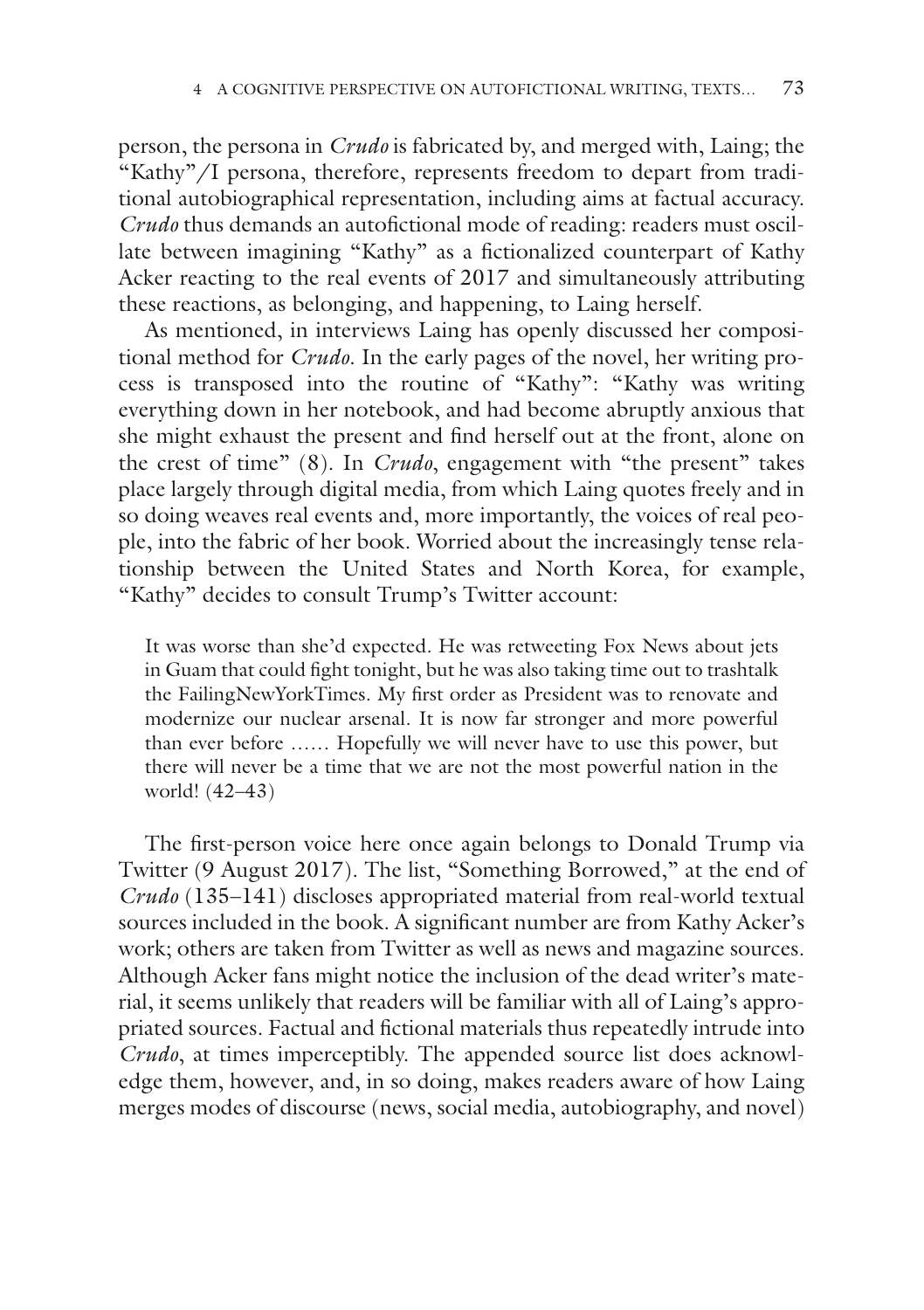person, the persona in *Crudo* is fabricated by, and merged with, Laing; the "Kathy"/I persona, therefore, represents freedom to depart from traditional autobiographical representation, including aims at factual accuracy. *Crudo* thus demands an autofictional mode of reading: readers must oscillate between imagining "Kathy" as a fctionalized counterpart of Kathy Acker reacting to the real events of 2017 and simultaneously attributing these reactions, as belonging, and happening, to Laing herself.

As mentioned, in interviews Laing has openly discussed her compositional method for *Crudo*. In the early pages of the novel, her writing process is transposed into the routine of "Kathy": "Kathy was writing everything down in her notebook, and had become abruptly anxious that she might exhaust the present and fnd herself out at the front, alone on the crest of time" (8). In *Crudo*, engagement with "the present" takes place largely through digital media, from which Laing quotes freely and in so doing weaves real events and, more importantly, the voices of real people, into the fabric of her book. Worried about the increasingly tense relationship between the United States and North Korea, for example, "Kathy" decides to consult Trump's Twitter account:

It was worse than she'd expected. He was retweeting Fox News about jets in Guam that could fght tonight, but he was also taking time out to trashtalk the FailingNewYorkTimes. My frst order as President was to renovate and modernize our nuclear arsenal. It is now far stronger and more powerful than ever before …… Hopefully we will never have to use this power, but there will never be a time that we are not the most powerful nation in the world! (42–43)

The frst-person voice here once again belongs to Donald Trump via Twitter (9 August 2017). The list, "Something Borrowed," at the end of *Crudo* (135–141) discloses appropriated material from real-world textual sources included in the book. A signifcant number are from Kathy Acker's work; others are taken from Twitter as well as news and magazine sources. Although Acker fans might notice the inclusion of the dead writer's material, it seems unlikely that readers will be familiar with all of Laing's appropriated sources. Factual and fctional materials thus repeatedly intrude into *Crudo*, at times imperceptibly. The appended source list does acknowledge them, however, and, in so doing, makes readers aware of how Laing merges modes of discourse (news, social media, autobiography, and novel)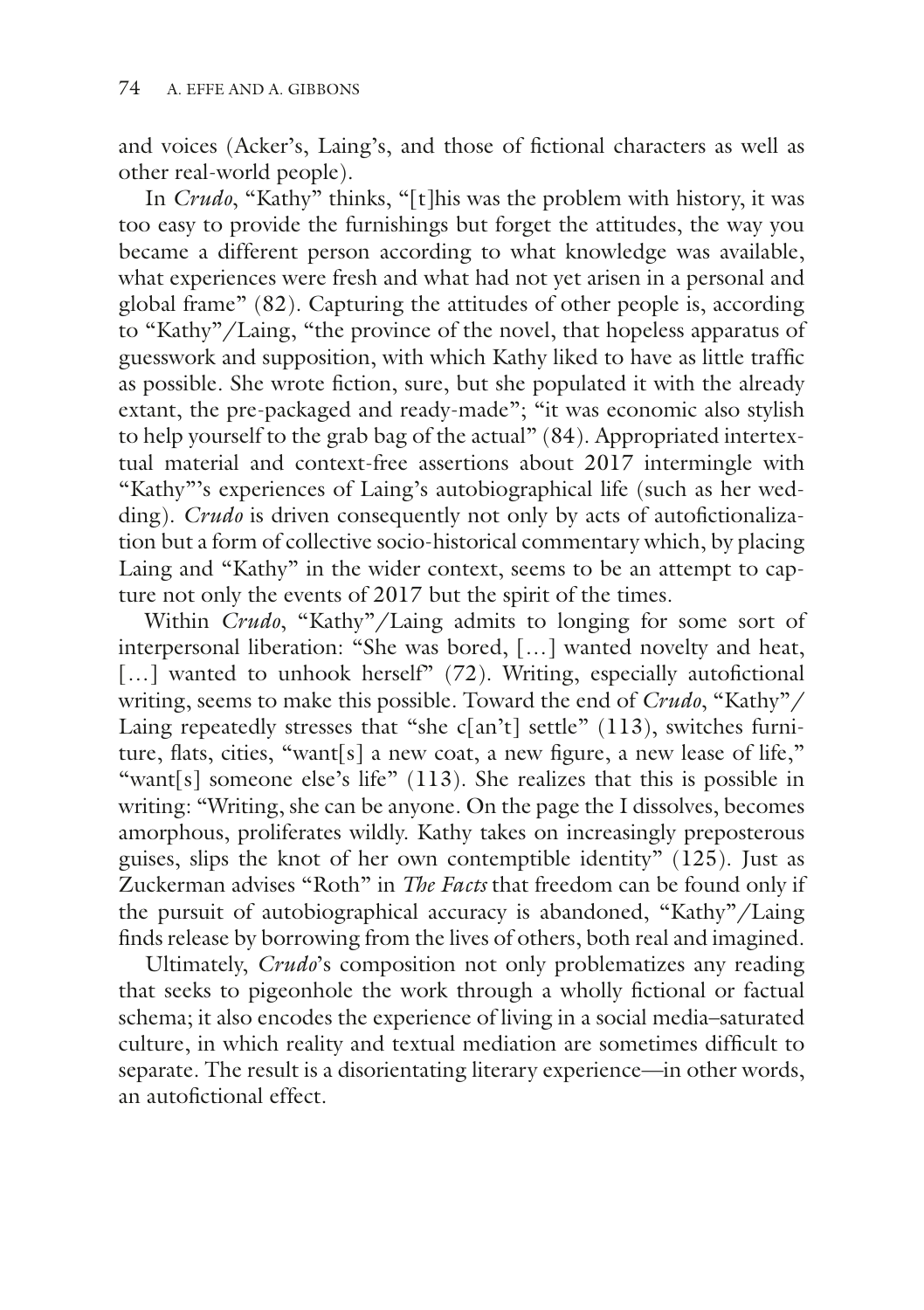and voices (Acker's, Laing's, and those of fctional characters as well as other real-world people).

In *Crudo*, "Kathy" thinks, "[t]his was the problem with history, it was too easy to provide the furnishings but forget the attitudes, the way you became a different person according to what knowledge was available, what experiences were fresh and what had not yet arisen in a personal and global frame" (82). Capturing the attitudes of other people is, according to "Kathy"/Laing, "the province of the novel, that hopeless apparatus of guesswork and supposition, with which Kathy liked to have as little traffc as possible. She wrote fction, sure, but she populated it with the already extant, the pre-packaged and ready-made"; "it was economic also stylish to help yourself to the grab bag of the actual" (84). Appropriated intertextual material and context-free assertions about 2017 intermingle with "Kathy"'s experiences of Laing's autobiographical life (such as her wedding). *Crudo* is driven consequently not only by acts of autofictionalization but a form of collective socio-historical commentary which, by placing Laing and "Kathy" in the wider context, seems to be an attempt to capture not only the events of 2017 but the spirit of the times.

Within *Crudo*, "Kathy"/Laing admits to longing for some sort of interpersonal liberation: "She was bored, […] wanted novelty and heat,  $\left[\ldots\right]$  wanted to unhook herself" (72). Writing, especially autofictional writing, seems to make this possible. Toward the end of *Crudo*, "Kathy"/ Laing repeatedly stresses that "she c[an't] settle" (113), switches furniture, fats, cities, "want[s] a new coat, a new fgure, a new lease of life," "want[s] someone else's life" (113). She realizes that this is possible in writing: "Writing, she can be anyone. On the page the I dissolves, becomes amorphous, proliferates wildly. Kathy takes on increasingly preposterous guises, slips the knot of her own contemptible identity" (125). Just as Zuckerman advises "Roth" in *The Facts* that freedom can be found only if the pursuit of autobiographical accuracy is abandoned, "Kathy"/Laing fnds release by borrowing from the lives of others, both real and imagined.

Ultimately, *Crudo*'s composition not only problematizes any reading that seeks to pigeonhole the work through a wholly fctional or factual schema; it also encodes the experience of living in a social media–saturated culture, in which reality and textual mediation are sometimes diffcult to separate. The result is a disorientating literary experience—in other words, an autofictional effect.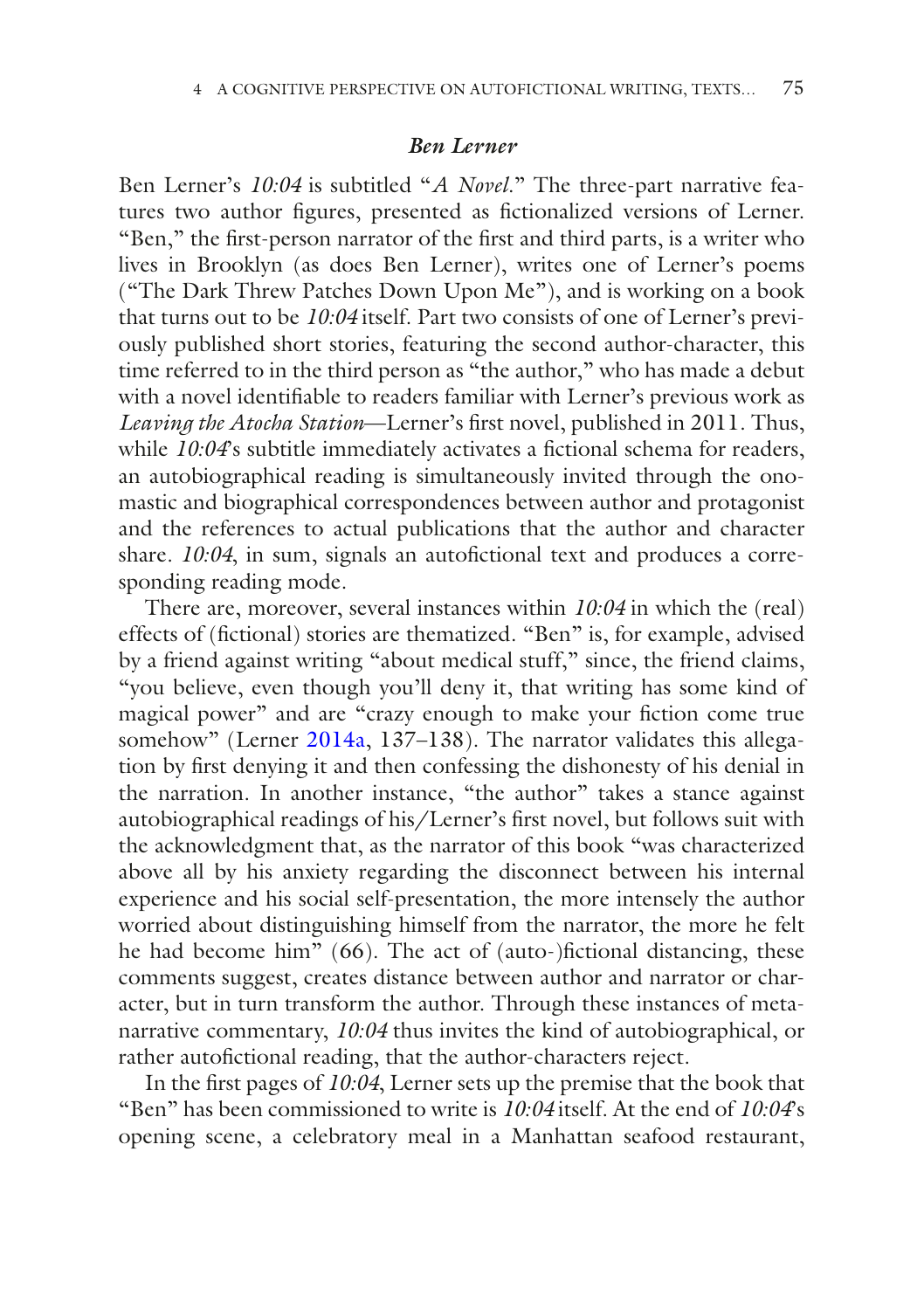#### *Ben Lerner*

Ben Lerner's *10:04* is subtitled "*A Novel*." The three-part narrative features two author fgures, presented as fctionalized versions of Lerner. "Ben," the frst-person narrator of the frst and third parts, is a writer who lives in Brooklyn (as does Ben Lerner), writes one of Lerner's poems ("The Dark Threw Patches Down Upon Me"), and is working on a book that turns out to be *10:04* itself. Part two consists of one of Lerner's previously published short stories, featuring the second author-character, this time referred to in the third person as "the author," who has made a debut with a novel identifable to readers familiar with Lerner's previous work as *Leaving the Atocha Station*—Lerner's frst novel, published in 2011. Thus, while *10:04*'s subtitle immediately activates a fictional schema for readers, an autobiographical reading is simultaneously invited through the onomastic and biographical correspondences between author and protagonist and the references to actual publications that the author and character share. 10:04, in sum, signals an autofictional text and produces a corresponding reading mode.

There are, moreover, several instances within *10:04* in which the (real) effects of (fctional) stories are thematized. "Ben" is, for example, advised by a friend against writing "about medical stuff," since, the friend claims, "you believe, even though you'll deny it, that writing has some kind of magical power" and are "crazy enough to make your fction come true somehow" (Lerner [2014a](#page-20-15), 137–138). The narrator validates this allegation by frst denying it and then confessing the dishonesty of his denial in the narration. In another instance, "the author" takes a stance against autobiographical readings of his/Lerner's frst novel, but follows suit with the acknowledgment that, as the narrator of this book "was characterized above all by his anxiety regarding the disconnect between his internal experience and his social self-presentation, the more intensely the author worried about distinguishing himself from the narrator, the more he felt he had become him" (66). The act of (auto-)fictional distancing, these comments suggest, creates distance between author and narrator or character, but in turn transform the author. Through these instances of metanarrative commentary, *10:04* thus invites the kind of autobiographical, or rather autofictional reading, that the author-characters reject.

In the frst pages of *10:04*, Lerner sets up the premise that the book that "Ben" has been commissioned to write is *10:04* itself. At the end of *10:04*'s opening scene, a celebratory meal in a Manhattan seafood restaurant,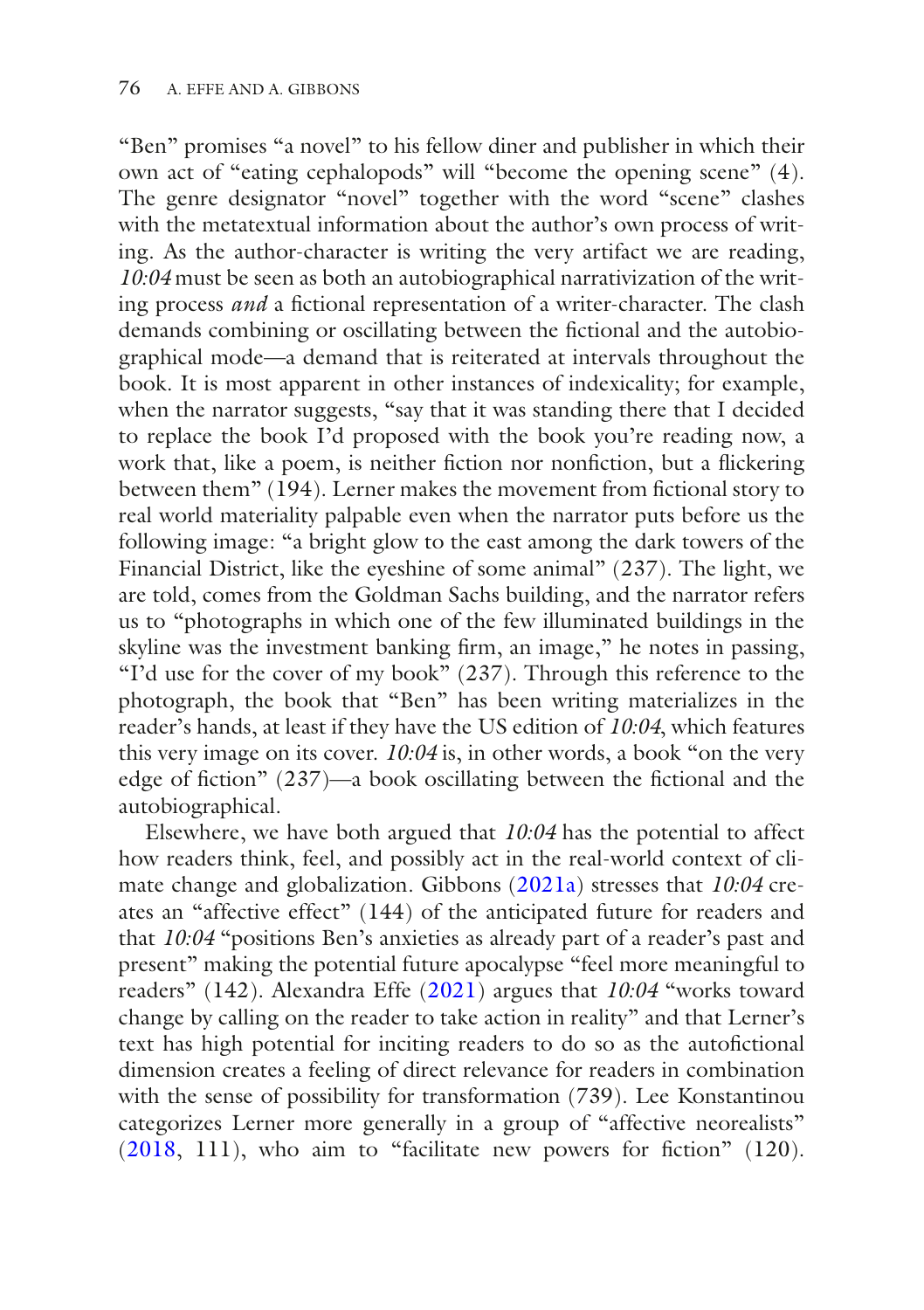"Ben" promises "a novel" to his fellow diner and publisher in which their own act of "eating cephalopods" will "become the opening scene" (4). The genre designator "novel" together with the word "scene" clashes with the metatextual information about the author's own process of writing. As the author-character is writing the very artifact we are reading, *10:04* must be seen as both an autobiographical narrativization of the writing process *and* a fictional representation of a writer-character. The clash demands combining or oscillating between the fctional and the autobiographical mode—a demand that is reiterated at intervals throughout the book. It is most apparent in other instances of indexicality; for example, when the narrator suggests, "say that it was standing there that I decided to replace the book I'd proposed with the book you're reading now, a work that, like a poem, is neither fction nor nonfction, but a fickering between them"  $(194)$ . Lerner makes the movement from fictional story to real world materiality palpable even when the narrator puts before us the following image: "a bright glow to the east among the dark towers of the Financial District, like the eyeshine of some animal" (237). The light, we are told, comes from the Goldman Sachs building, and the narrator refers us to "photographs in which one of the few illuminated buildings in the skyline was the investment banking frm, an image," he notes in passing, "I'd use for the cover of my book"  $(237)$ . Through this reference to the photograph, the book that "Ben" has been writing materializes in the reader's hands, at least if they have the US edition of *10:04*, which features this very image on its cover. *10:04* is, in other words, a book "on the very edge of fiction" (237)—a book oscillating between the fictional and the autobiographical.

Elsewhere, we have both argued that *10:04* has the potential to affect how readers think, feel, and possibly act in the real-world context of climate change and globalization. Gibbons ([2021a\)](#page-19-11) stresses that *10:04* creates an "affective effect" (144) of the anticipated future for readers and that *10:04* "positions Ben's anxieties as already part of a reader's past and present" making the potential future apocalypse "feel more meaningful to readers" (142). Alexandra Effe [\(2021\)](#page-18-12) argues that *10:04* "works toward change by calling on the reader to take action in reality" and that Lerner's text has high potential for inciting readers to do so as the autofctional dimension creates a feeling of direct relevance for readers in combination with the sense of possibility for transformation (739). Lee Konstantinou categorizes Lerner more generally in a group of "affective neorealists" ([2018](#page-19-12), 111), who aim to "facilitate new powers for fction" (120).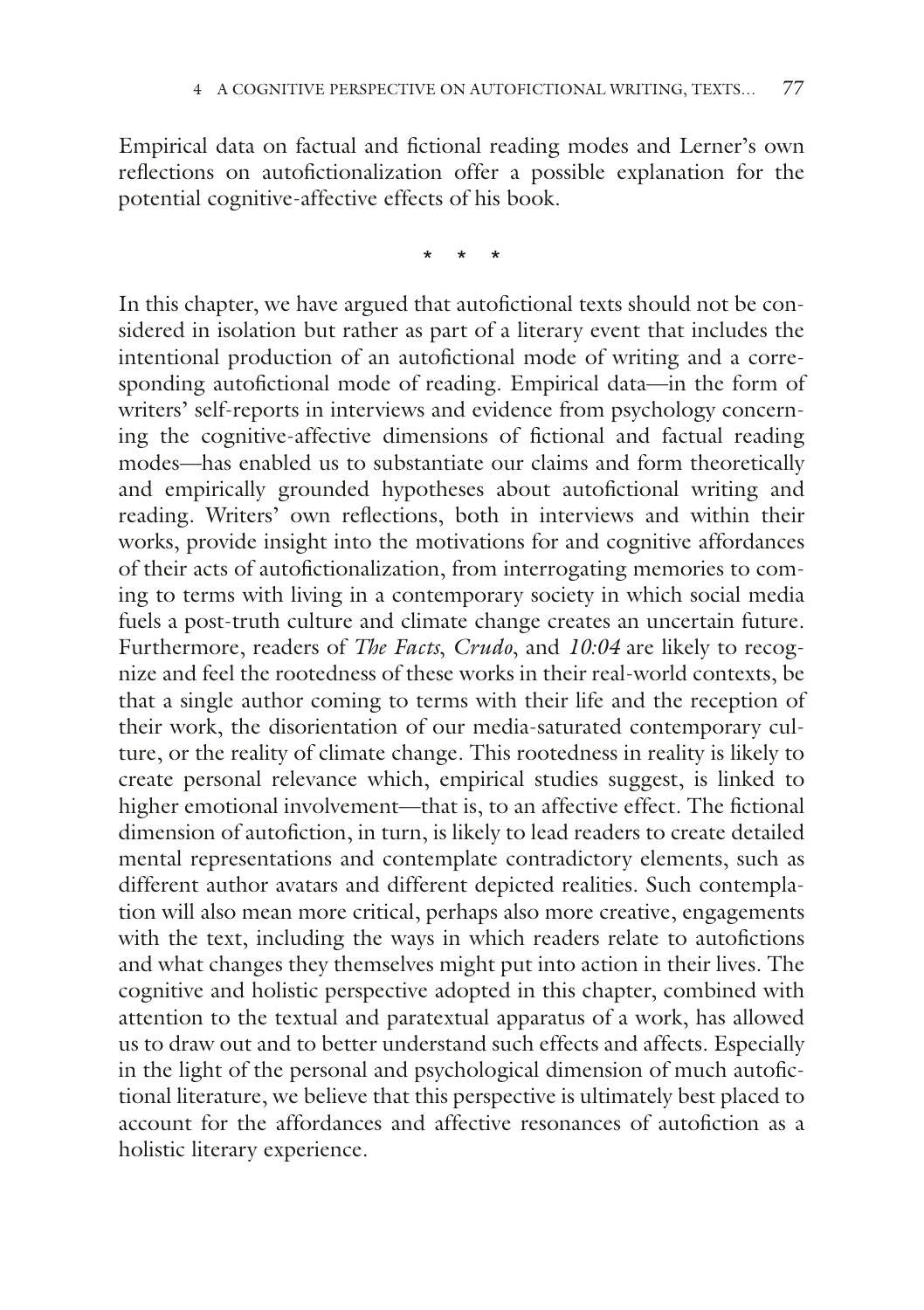Empirical data on factual and fctional reading modes and Lerner's own refections on autofctionalization offer a possible explanation for the potential cognitive-affective effects of his book.

\* \* \*

In this chapter, we have argued that autofictional texts should not be considered in isolation but rather as part of a literary event that includes the intentional production of an autofictional mode of writing and a corresponding autofictional mode of reading. Empirical data—in the form of writers' self-reports in interviews and evidence from psychology concerning the cognitive-affective dimensions of fctional and factual reading modes—has enabled us to substantiate our claims and form theoretically and empirically grounded hypotheses about autofictional writing and reading. Writers' own refections, both in interviews and within their works, provide insight into the motivations for and cognitive affordances of their acts of autofctionalization, from interrogating memories to coming to terms with living in a contemporary society in which social media fuels a post-truth culture and climate change creates an uncertain future. Furthermore, readers of *The Facts*, *Crudo*, and *10:04* are likely to recognize and feel the rootedness of these works in their real-world contexts, be that a single author coming to terms with their life and the reception of their work, the disorientation of our media-saturated contemporary culture, or the reality of climate change. This rootedness in reality is likely to create personal relevance which, empirical studies suggest, is linked to higher emotional involvement—that is, to an affective effect. The fictional dimension of autofiction, in turn, is likely to lead readers to create detailed mental representations and contemplate contradictory elements, such as different author avatars and different depicted realities. Such contemplation will also mean more critical, perhaps also more creative, engagements with the text, including the ways in which readers relate to autofictions and what changes they themselves might put into action in their lives. The cognitive and holistic perspective adopted in this chapter, combined with attention to the textual and paratextual apparatus of a work, has allowed us to draw out and to better understand such effects and affects. Especially in the light of the personal and psychological dimension of much autofctional literature, we believe that this perspective is ultimately best placed to account for the affordances and affective resonances of autofiction as a holistic literary experience.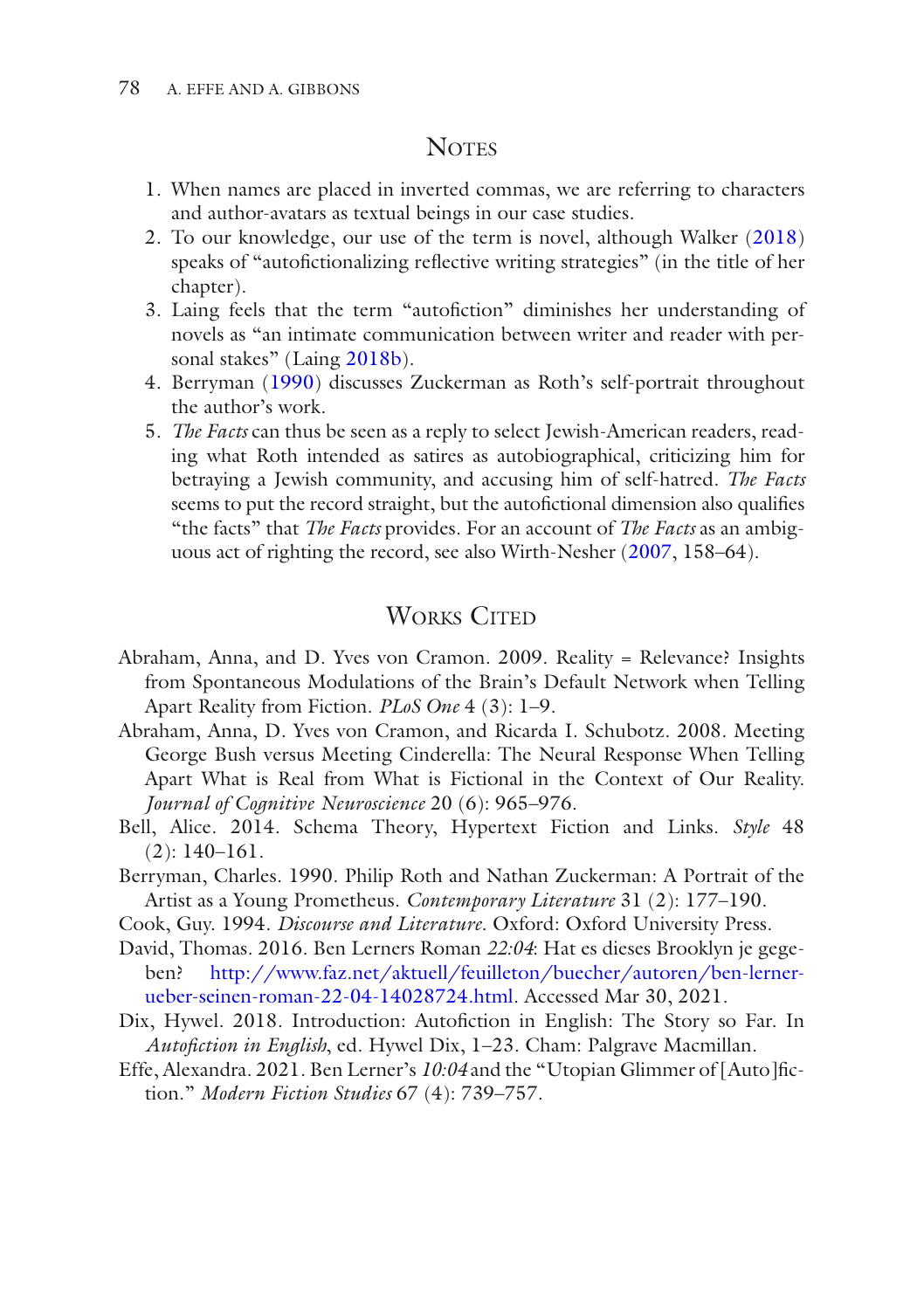#### **NOTES**

- <span id="page-18-1"></span>1. When names are placed in inverted commas, we are referring to characters and author-avatars as textual beings in our case studies.
- <span id="page-18-6"></span>2. To our knowledge, our use of the term is novel, although Walker [\(2018](#page-20-4)) speaks of "autofictionalizing reflective writing strategies" (in the title of her chapter).
- <span id="page-18-7"></span>3. Laing feels that the term "autofction" diminishes her understanding of novels as "an intimate communication between writer and reader with personal stakes" (Laing [2018b](#page-19-8)).
- <span id="page-18-9"></span>4. Berryman ([1990\)](#page-18-10) discusses Zuckerman as Roth's self-portrait throughout the author's work.
- <span id="page-18-11"></span>5. *The Facts* can thus be seen as a reply to select Jewish-American readers, reading what Roth intended as satires as autobiographical, criticizing him for betraying a Jewish community, and accusing him of self-hatred. *The Facts* seems to put the record straight, but the autofictional dimension also qualifies "the facts" that *The Facts* provides. For an account of *The Facts* as an ambiguous act of righting the record, see also Wirth-Nesher [\(2007](#page-20-16), 158–64).

### **WORKS CITED**

- <span id="page-18-4"></span>Abraham, Anna, and D. Yves von Cramon. 2009. Reality = Relevance? Insights from Spontaneous Modulations of the Brain's Default Network when Telling Apart Reality from Fiction. *PLoS One* 4 (3): 1–9.
- <span id="page-18-5"></span>Abraham, Anna, D. Yves von Cramon, and Ricarda I. Schubotz. 2008. Meeting George Bush versus Meeting Cinderella: The Neural Response When Telling Apart What is Real from What is Fictional in the Context of Our Reality. *Journal of Cognitive Neuroscience* 20 (6): 965–976.
- <span id="page-18-2"></span>Bell, Alice. 2014. Schema Theory, Hypertext Fiction and Links. *Style* 48 (2): 140–161.
- <span id="page-18-10"></span>Berryman, Charles. 1990. Philip Roth and Nathan Zuckerman: A Portrait of the Artist as a Young Prometheus. *Contemporary Literature* 31 (2): 177–190.
- <span id="page-18-3"></span>Cook, Guy. 1994. *Discourse and Literature*. Oxford: Oxford University Press.
- <span id="page-18-8"></span>David, Thomas. 2016. Ben Lerners Roman *22:04*: Hat es dieses Brooklyn je gegeben? [http://www.faz.net/aktuell/feuilleton/buecher/autoren/ben-lerner](http://www.faz.net/aktuell/feuilleton/buecher/autoren/ben-lerner-ueber-seinen-roman-22-04-14028724.html)[ueber-seinen-roman-22-04-14028724.html](http://www.faz.net/aktuell/feuilleton/buecher/autoren/ben-lerner-ueber-seinen-roman-22-04-14028724.html). Accessed Mar 30, 2021.
- <span id="page-18-0"></span>Dix, Hywel. 2018. Introduction: Autofction in English: The Story so Far. In *Autofction in English*, ed. Hywel Dix, 1–23. Cham: Palgrave Macmillan.
- <span id="page-18-12"></span>Effe, Alexandra. 2021. Ben Lerner's *10:04* and the "Utopian Glimmer of [Auto]fction." *Modern Fiction Studies* 67 (4): 739–757.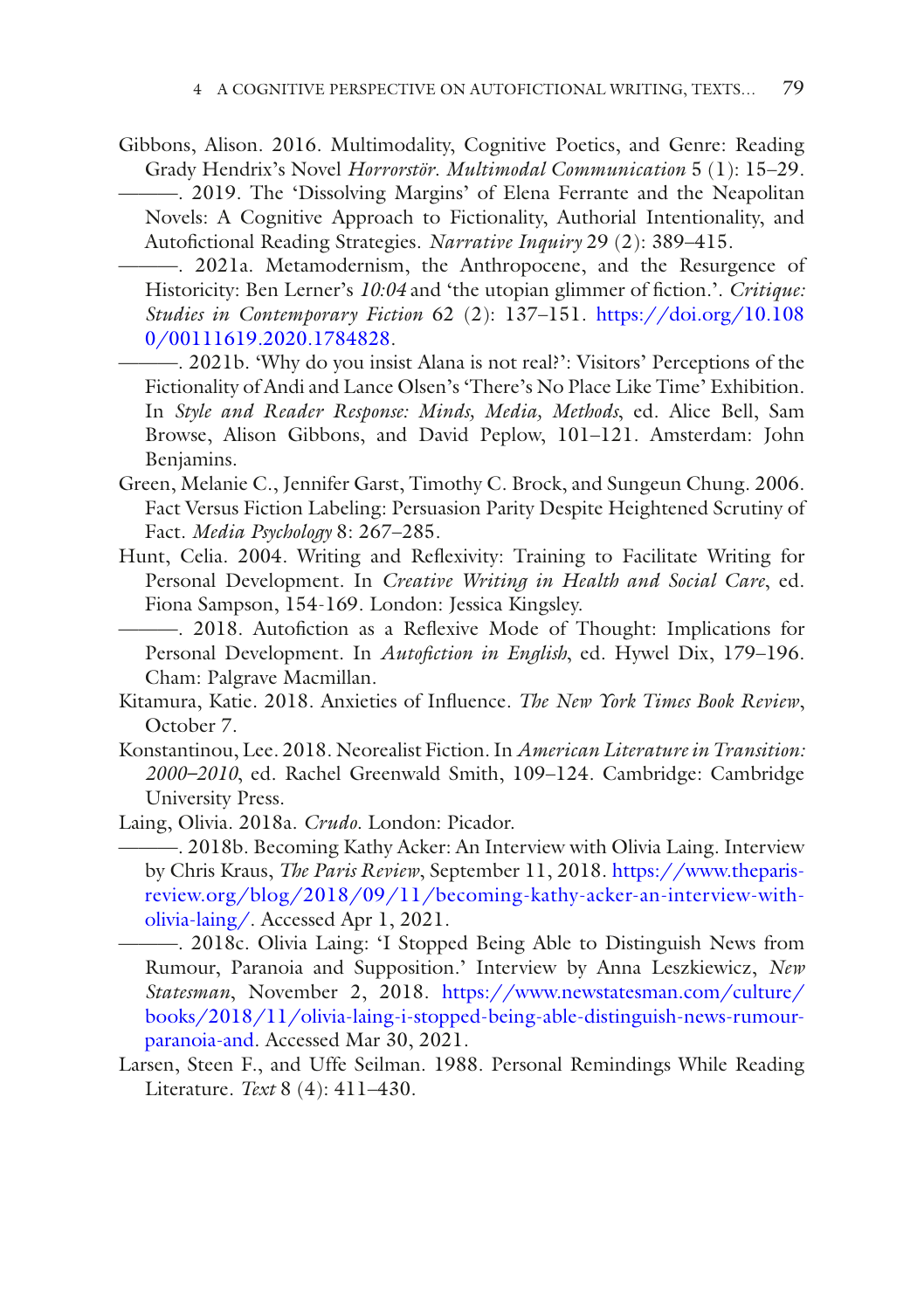<span id="page-19-2"></span><span id="page-19-1"></span>Gibbons, Alison. 2016. Multimodality, Cognitive Poetics, and Genre: Reading Grady Hendrix's Novel *Horrorstör*. *Multimodal Communication* 5 (1): 15–29. ———. 2019. The 'Dissolving Margins' of Elena Ferrante and the Neapolitan Novels: A Cognitive Approach to Fictionality, Authorial Intentionality, and Autofctional Reading Strategies. *Narrative Inquiry* 29 (2): 389–415.

<span id="page-19-11"></span>———. 2021a. Metamodernism, the Anthropocene, and the Resurgence of Historicity: Ben Lerner's 10:04 and 'the utopian glimmer of fiction.'. *Critique*: *Studies in Contemporary Fiction* 62 (2): 137–151. [https://doi.org/10.108](https://doi.org/10.1080/00111619.2020.1784828) [0/00111619.2020.1784828](https://doi.org/10.1080/00111619.2020.1784828).

- <span id="page-19-3"></span>———. 2021b. 'Why do you insist Alana is not real?': Visitors' Perceptions of the Fictionality of Andi and Lance Olsen's 'There's No Place Like Time' Exhibition. In *Style and Reader Response: Minds, Media, Methods*, ed. Alice Bell, Sam Browse, Alison Gibbons, and David Peplow, 101–121. Amsterdam: John Benjamins.
- <span id="page-19-4"></span>Green, Melanie C., Jennifer Garst, Timothy C. Brock, and Sungeun Chung. 2006. Fact Versus Fiction Labeling: Persuasion Parity Despite Heightened Scrutiny of Fact. *Media Psychology* 8: 267–285.
- <span id="page-19-6"></span>Hunt, Celia. 2004. Writing and Refexivity: Training to Facilitate Writing for Personal Development. In *Creative Writing in Health and Social Care*, ed. Fiona Sampson, 154-169. London: Jessica Kingsley.

<span id="page-19-0"></span>———. 2018. Autofction as a Refexive Mode of Thought: Implications for Personal Development. In *Autofiction in English*, ed. Hywel Dix, 179-196. Cham: Palgrave Macmillan.

- <span id="page-19-10"></span>Kitamura, Katie. 2018. Anxieties of Infuence. *The New York Times Book Review*, October 7.
- <span id="page-19-12"></span>Konstantinou, Lee. 2018. Neorealist Fiction. In *American Literature in Transition: 2000–2010*, ed. Rachel Greenwald Smith, 109–124. Cambridge: Cambridge University Press.

<span id="page-19-9"></span><span id="page-19-8"></span>Laing, Olivia. 2018a. *Crudo*. London: Picador.

———. 2018b. Becoming Kathy Acker: An Interview with Olivia Laing. Interview by Chris Kraus, *The Paris Review*, September 11, 2018. [https://www.theparis](https://www.theparisreview.org/blog/2018/09/11/becoming-kathy-acker-an-interview-with-olivia-laing/)[review.org/blog/2018/09/11/becoming-kathy-acker-an-interview-with](https://www.theparisreview.org/blog/2018/09/11/becoming-kathy-acker-an-interview-with-olivia-laing/)[olivia-laing/.](https://www.theparisreview.org/blog/2018/09/11/becoming-kathy-acker-an-interview-with-olivia-laing/) Accessed Apr 1, 2021.

<span id="page-19-7"></span>———. 2018c. Olivia Laing: 'I Stopped Being Able to Distinguish News from Rumour, Paranoia and Supposition.' Interview by Anna Leszkiewicz, *New Statesman*, November 2, 2018. [https://www.newstatesman.com/culture/](https://www.newstatesman.com/culture/books/2018/11/olivia-laing-i-stopped-being-able-distinguish-news-rumour-paranoia-and) [books/2018/11/olivia-laing-i-stopped-being-able-distinguish-news-rumour](https://www.newstatesman.com/culture/books/2018/11/olivia-laing-i-stopped-being-able-distinguish-news-rumour-paranoia-and)[paranoia-and.](https://www.newstatesman.com/culture/books/2018/11/olivia-laing-i-stopped-being-able-distinguish-news-rumour-paranoia-and) Accessed Mar 30, 2021.

<span id="page-19-5"></span>Larsen, Steen F., and Uffe Seilman. 1988. Personal Remindings While Reading Literature. *Text* 8 (4): 411–430.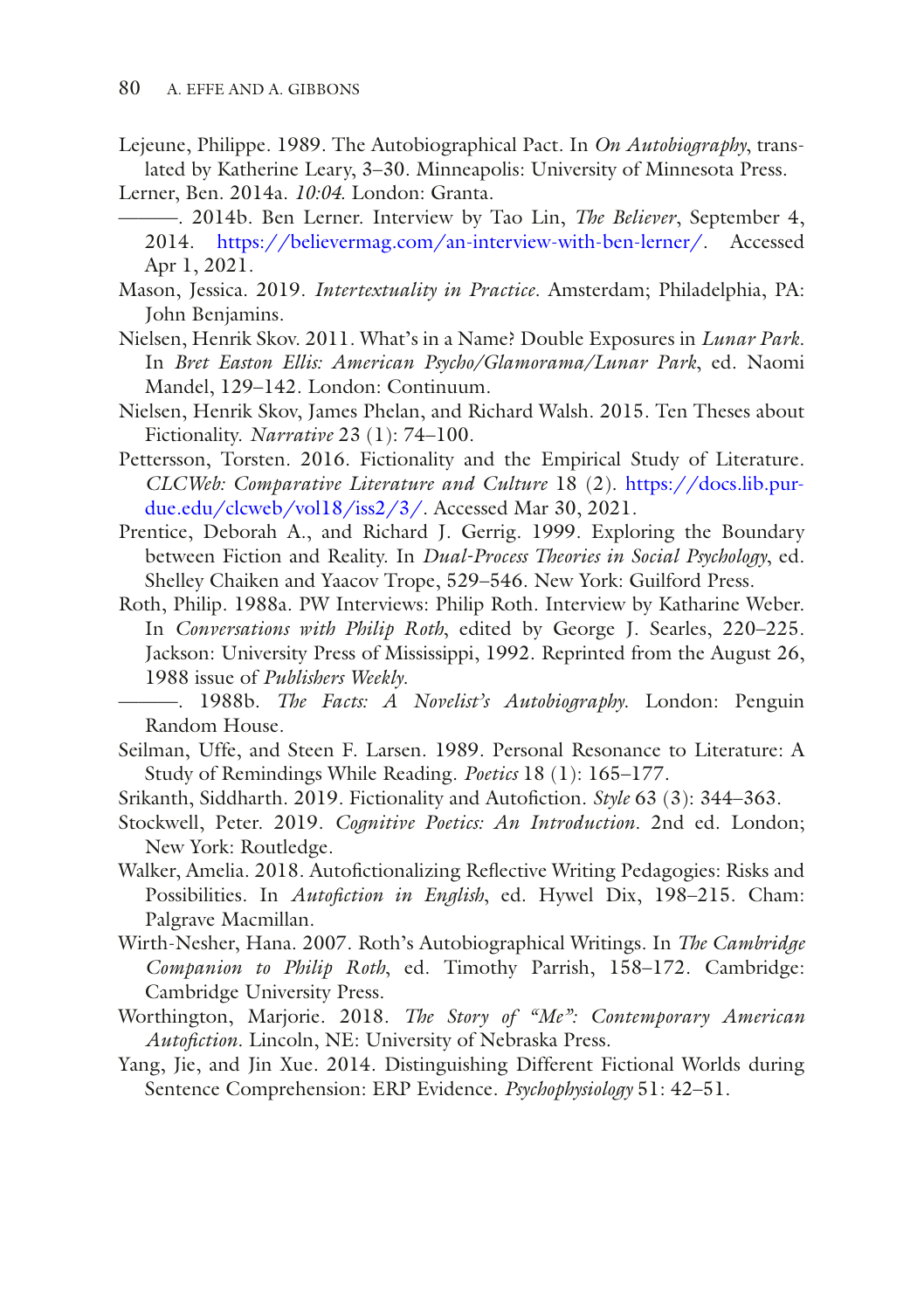- <span id="page-20-2"></span>Lejeune, Philippe. 1989. The Autobiographical Pact. In *On Autobiography*, translated by Katherine Leary, 3–30. Minneapolis: University of Minnesota Press.
- <span id="page-20-15"></span><span id="page-20-14"></span>Lerner, Ben. 2014a. *10:04*. London: Granta.
	- ———. 2014b. Ben Lerner. Interview by Tao Lin, *The Believer*, September 4, 2014. <https://believermag.com/an-interview-with-ben-lerner/>. Accessed Apr 1, 2021.
- <span id="page-20-6"></span>Mason, Jessica. 2019. *Intertextuality in Practice*. Amsterdam; Philadelphia, PA: John Benjamins.
- <span id="page-20-1"></span>Nielsen, Henrik Skov. 2011. What's in a Name? Double Exposures in *Lunar Park*. In *Bret Easton Ellis: American Psycho/Glamorama/Lunar Park*, ed. Naomi Mandel, 129–142. London: Continuum.
- <span id="page-20-11"></span>Nielsen, Henrik Skov, James Phelan, and Richard Walsh. 2015. Ten Theses about Fictionality. *Narrative* 23 (1): 74–100.
- <span id="page-20-8"></span>Pettersson, Torsten. 2016. Fictionality and the Empirical Study of Literature. *CLCWeb: Comparative Literature and Culture* 18 (2). [https://docs.lib.pur](https://docs.lib.purdue.edu/clcweb/vol18/iss2/3/)[due.edu/clcweb/vol18/iss2/3/](https://docs.lib.purdue.edu/clcweb/vol18/iss2/3/). Accessed Mar 30, 2021.
- <span id="page-20-7"></span>Prentice, Deborah A., and Richard J. Gerrig. 1999. Exploring the Boundary between Fiction and Reality. In *Dual-Process Theories in Social Psychology*, ed. Shelley Chaiken and Yaacov Trope, 529–546. New York: Guilford Press.
- <span id="page-20-12"></span>Roth, Philip. 1988a. PW Interviews: Philip Roth. Interview by Katharine Weber. In *Conversations with Philip Roth*, edited by George J. Searles, 220–225. Jackson: University Press of Mississippi, 1992. Reprinted from the August 26, 1988 issue of *Publishers Weekly*.
- <span id="page-20-13"></span>———. 1988b. *The Facts: A Novelist's Autobiography*. London: Penguin Random House.
- <span id="page-20-10"></span>Seilman, Uffe, and Steen F. Larsen. 1989. Personal Resonance to Literature: A Study of Remindings While Reading. *Poetics* 18 (1): 165–177.
- <span id="page-20-3"></span>Srikanth, Siddharth. 2019. Fictionality and Autofiction. *Style* 63 (3): 344-363.
- <span id="page-20-5"></span>Stockwell, Peter. 2019. *Cognitive Poetics: An Introduction*. 2nd ed. London; New York: Routledge.
- <span id="page-20-4"></span>Walker, Amelia. 2018. Autofictionalizing Reflective Writing Pedagogies: Risks and Possibilities. In *Autofiction in English*, ed. Hywel Dix, 198-215. Cham: Palgrave Macmillan.
- <span id="page-20-16"></span>Wirth-Nesher, Hana. 2007. Roth's Autobiographical Writings. In *The Cambridge Companion to Philip Roth*, ed. Timothy Parrish, 158–172. Cambridge: Cambridge University Press.
- <span id="page-20-0"></span>Worthington, Marjorie. 2018. *The Story of "Me": Contemporary American Autofction*. Lincoln, NE: University of Nebraska Press.
- <span id="page-20-9"></span>Yang, Jie, and Jin Xue. 2014. Distinguishing Different Fictional Worlds during Sentence Comprehension: ERP Evidence. *Psychophysiology* 51: 42–51.